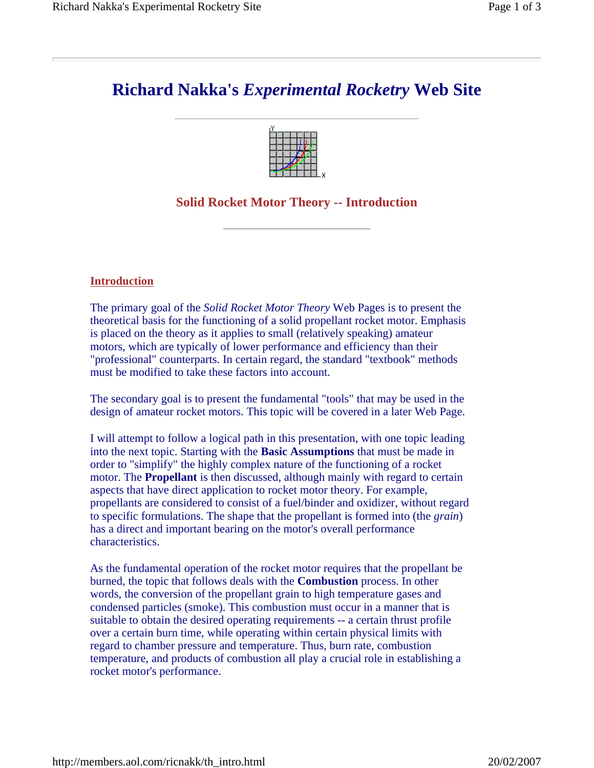

### **Solid Rocket Motor Theory -- Introduction**

#### **Introduction**

The primary goal of the *Solid Rocket Motor Theory* Web Pages is to present the theoretical basis for the functioning of a solid propellant rocket motor. Emphasis is placed on the theory as it applies to small (relatively speaking) amateur motors, which are typically of lower performance and efficiency than their "professional" counterparts. In certain regard, the standard "textbook" methods must be modified to take these factors into account.

The secondary goal is to present the fundamental "tools" that may be used in the design of amateur rocket motors. This topic will be covered in a later Web Page.

I will attempt to follow a logical path in this presentation, with one topic leading into the next topic. Starting with the **Basic Assumptions** that must be made in order to "simplify" the highly complex nature of the functioning of a rocket motor. The **Propellant** is then discussed, although mainly with regard to certain aspects that have direct application to rocket motor theory. For example, propellants are considered to consist of a fuel/binder and oxidizer, without regard to specific formulations. The shape that the propellant is formed into (the *grain*) has a direct and important bearing on the motor's overall performance characteristics.

As the fundamental operation of the rocket motor requires that the propellant be burned, the topic that follows deals with the **Combustion** process. In other words, the conversion of the propellant grain to high temperature gases and condensed particles (smoke). This combustion must occur in a manner that is suitable to obtain the desired operating requirements -- a certain thrust profile over a certain burn time, while operating within certain physical limits with regard to chamber pressure and temperature. Thus, burn rate, combustion temperature, and products of combustion all play a crucial role in establishing a rocket motor's performance.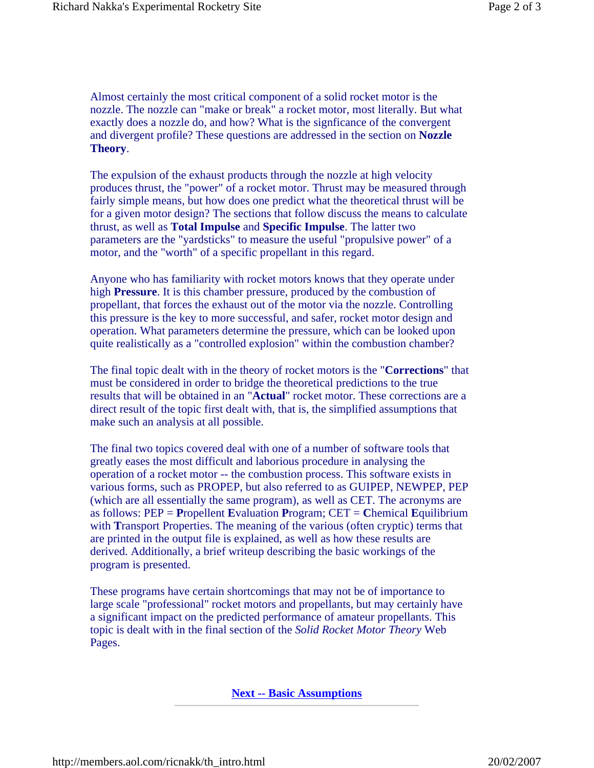Almost certainly the most critical component of a solid rocket motor is the nozzle. The nozzle can "make or break" a rocket motor, most literally. But what exactly does a nozzle do, and how? What is the signficance of the convergent and divergent profile? These questions are addressed in the section on **Nozzle Theory**.

The expulsion of the exhaust products through the nozzle at high velocity produces thrust, the "power" of a rocket motor. Thrust may be measured through fairly simple means, but how does one predict what the theoretical thrust will be for a given motor design? The sections that follow discuss the means to calculate thrust, as well as **Total Impulse** and **Specific Impulse**. The latter two parameters are the "yardsticks" to measure the useful "propulsive power" of a motor, and the "worth" of a specific propellant in this regard.

Anyone who has familiarity with rocket motors knows that they operate under high **Pressure**. It is this chamber pressure, produced by the combustion of propellant, that forces the exhaust out of the motor via the nozzle. Controlling this pressure is the key to more successful, and safer, rocket motor design and operation. What parameters determine the pressure, which can be looked upon quite realistically as a "controlled explosion" within the combustion chamber?

The final topic dealt with in the theory of rocket motors is the "**Corrections**" that must be considered in order to bridge the theoretical predictions to the true results that will be obtained in an "**Actual**" rocket motor. These corrections are a direct result of the topic first dealt with, that is, the simplified assumptions that make such an analysis at all possible.

The final two topics covered deal with one of a number of software tools that greatly eases the most difficult and laborious procedure in analysing the operation of a rocket motor -- the combustion process. This software exists in various forms, such as PROPEP, but also referred to as GUIPEP, NEWPEP, PEP (which are all essentially the same program), as well as CET. The acronyms are as follows: PEP = **P**ropellent **E**valuation **P**rogram; CET = **C**hemical **E**quilibrium with **T**ransport Properties. The meaning of the various (often cryptic) terms that are printed in the output file is explained, as well as how these results are derived. Additionally, a brief writeup describing the basic workings of the program is presented.

These programs have certain shortcomings that may not be of importance to large scale "professional" rocket motors and propellants, but may certainly have a significant impact on the predicted performance of amateur propellants. This topic is dealt with in the final section of the *Solid Rocket Motor Theory* Web Pages.

**Next -- Basic Assumptions**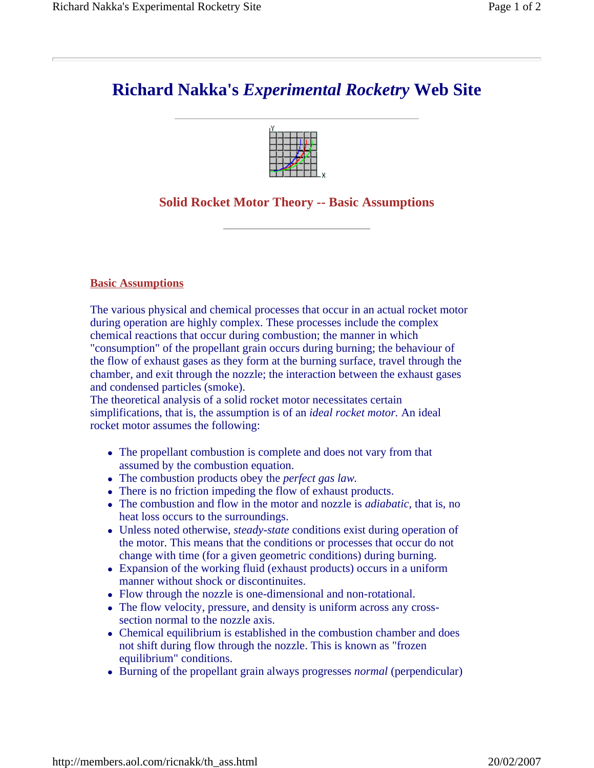

### **Solid Rocket Motor Theory -- Basic Assumptions**

**Basic Assumptions**

The various physical and chemical processes that occur in an actual rocket motor during operation are highly complex. These processes include the complex chemical reactions that occur during combustion; the manner in which "consumption" of the propellant grain occurs during burning; the behaviour of the flow of exhaust gases as they form at the burning surface, travel through the chamber, and exit through the nozzle; the interaction between the exhaust gases and condensed particles (smoke).

The theoretical analysis of a solid rocket motor necessitates certain simplifications, that is, the assumption is of an *ideal rocket motor.* An ideal rocket motor assumes the following:

- The propellant combustion is complete and does not vary from that assumed by the combustion equation.
- The combustion products obey the *perfect gas law.*
- There is no friction impeding the flow of exhaust products.
- The combustion and flow in the motor and nozzle is *adiabatic*, that is, no heat loss occurs to the surroundings.
- Unless noted otherwise, *steady-state* conditions exist during operation of the motor. This means that the conditions or processes that occur do not change with time (for a given geometric conditions) during burning.
- Expansion of the working fluid (exhaust products) occurs in a uniform manner without shock or discontinuites.
- Flow through the nozzle is one-dimensional and non-rotational.
- The flow velocity, pressure, and density is uniform across any crosssection normal to the nozzle axis.
- Chemical equilibrium is established in the combustion chamber and does not shift during flow through the nozzle. This is known as "frozen equilibrium" conditions.
- Burning of the propellant grain always progresses *normal* (perpendicular)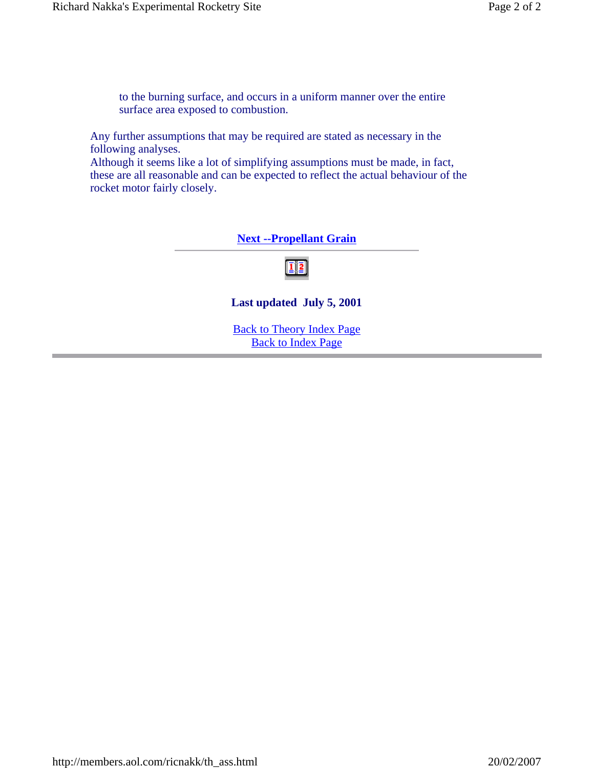to the burning surface, and occurs in a uniform manner over the entire surface area exposed to combustion.

Any further assumptions that may be required are stated as necessary in the following analyses.

Although it seems like a lot of simplifying assumptions must be made, in fact, these are all reasonable and can be expected to reflect the actual behaviour of the rocket motor fairly closely.

#### **Next --Propellant Grain**



#### **Last updated July 5, 2001**

Back to Theory Index Page Back to Index Page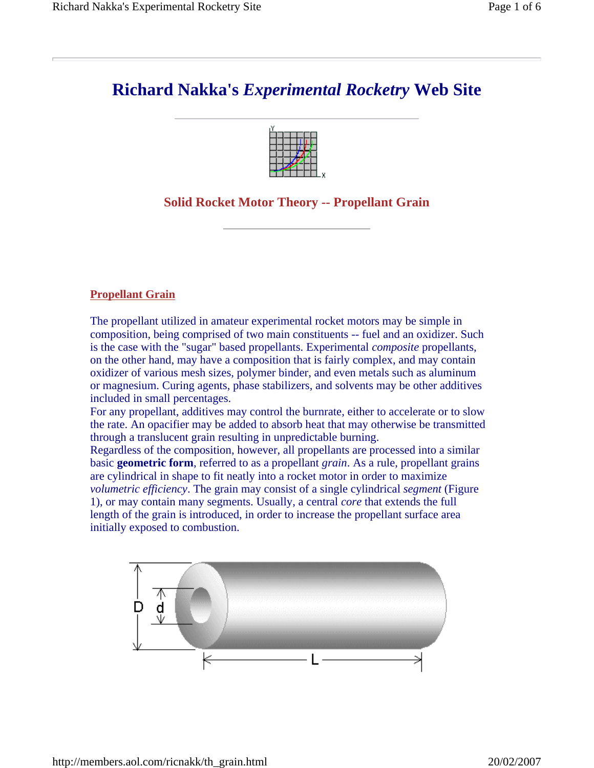

### **Solid Rocket Motor Theory -- Propellant Grain**

#### **Propellant Grain**

The propellant utilized in amateur experimental rocket motors may be simple in composition, being comprised of two main constituents -- fuel and an oxidizer. Such is the case with the "sugar" based propellants. Experimental *composite* propellants, on the other hand, may have a composition that is fairly complex, and may contain oxidizer of various mesh sizes, polymer binder, and even metals such as aluminum or magnesium. Curing agents, phase stabilizers, and solvents may be other additives included in small percentages.

For any propellant, additives may control the burnrate, either to accelerate or to slow the rate. An opacifier may be added to absorb heat that may otherwise be transmitted through a translucent grain resulting in unpredictable burning.

Regardless of the composition, however, all propellants are processed into a similar basic **geometric form**, referred to as a propellant *grain*. As a rule, propellant grains are cylindrical in shape to fit neatly into a rocket motor in order to maximize *volumetric efficiency*. The grain may consist of a single cylindrical *segment* (Figure 1), or may contain many segments. Usually, a central *core* that extends the full length of the grain is introduced, in order to increase the propellant surface area initially exposed to combustion.

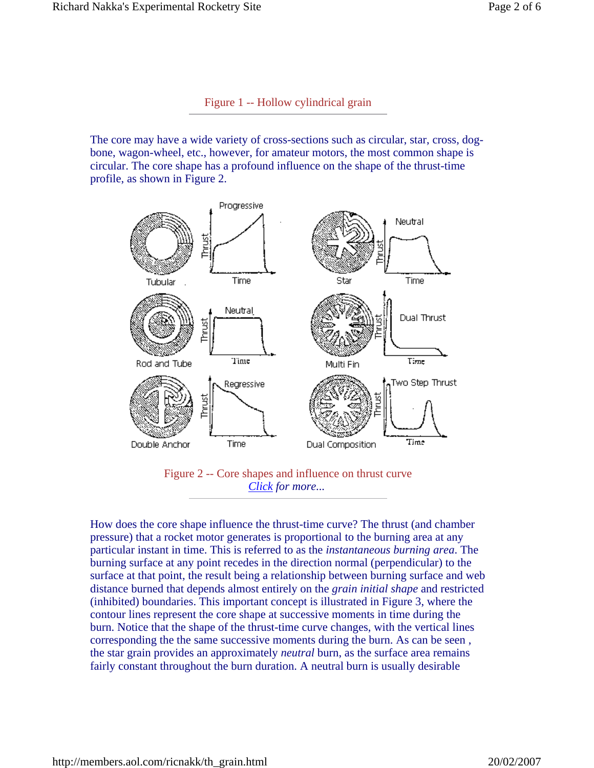Figure 1 -- Hollow cylindrical grain

The core may have a wide variety of cross-sections such as circular, star, cross, dogbone, wagon-wheel, etc., however, for amateur motors, the most common shape is circular. The core shape has a profound influence on the shape of the thrust-time profile, as shown in Figure 2.



Figure 2 -- Core shapes and influence on thrust curve *Click for more...*

How does the core shape influence the thrust-time curve? The thrust (and chamber pressure) that a rocket motor generates is proportional to the burning area at any particular instant in time. This is referred to as the *instantaneous burning area*. The burning surface at any point recedes in the direction normal (perpendicular) to the surface at that point, the result being a relationship between burning surface and web distance burned that depends almost entirely on the *grain initial shape* and restricted (inhibited) boundaries. This important concept is illustrated in Figure 3, where the contour lines represent the core shape at successive moments in time during the burn. Notice that the shape of the thrust-time curve changes, with the vertical lines corresponding the the same successive moments during the burn. As can be seen , the star grain provides an approximately *neutral* burn, as the surface area remains fairly constant throughout the burn duration. A neutral burn is usually desirable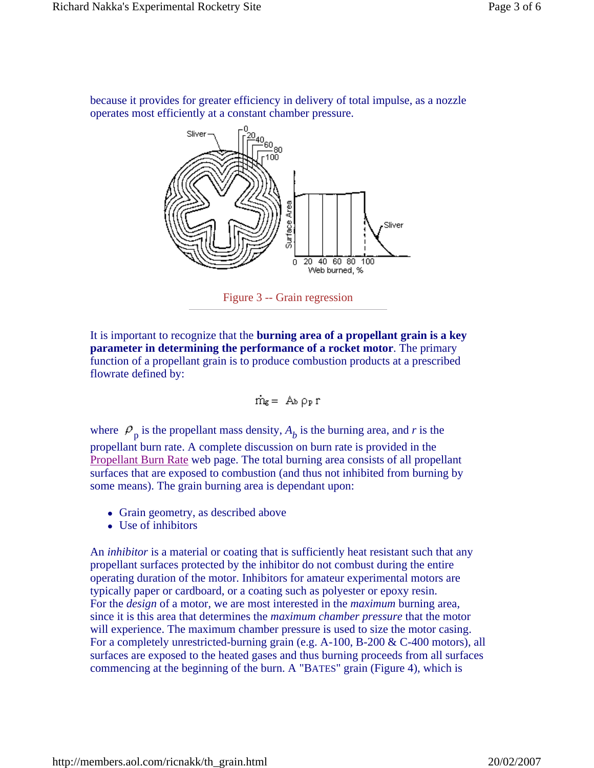because it provides for greater efficiency in delivery of total impulse, as a nozzle operates most efficiently at a constant chamber pressure.



Figure 3 -- Grain regression

It is important to recognize that the **burning area of a propellant grain is a key parameter in determining the performance of a rocket motor**. The primary function of a propellant grain is to produce combustion products at a prescribed flowrate defined by:

$$
\dot{m}_{g} = A_{b} \rho_{p} r
$$

where  $P_p$  is the propellant mass density,  $A_b$  is the burning area, and *r* is the propellant burn rate. A complete discussion on burn rate is provided in the Propellant Burn Rate web page. The total burning area consists of all propellant surfaces that are exposed to combustion (and thus not inhibited from burning by some means). The grain burning area is dependant upon:

- Grain geometry, as described above
- Use of inhibitors

An *inhibitor* is a material or coating that is sufficiently heat resistant such that any propellant surfaces protected by the inhibitor do not combust during the entire operating duration of the motor. Inhibitors for amateur experimental motors are typically paper or cardboard, or a coating such as polyester or epoxy resin. For the *design* of a motor, we are most interested in the *maximum* burning area, since it is this area that determines the *maximum chamber pressure* that the motor will experience. The maximum chamber pressure is used to size the motor casing. For a completely unrestricted-burning grain (e.g. A-100, B-200 & C-400 motors), all surfaces are exposed to the heated gases and thus burning proceeds from all surfaces commencing at the beginning of the burn. A "BATES" grain (Figure 4), which is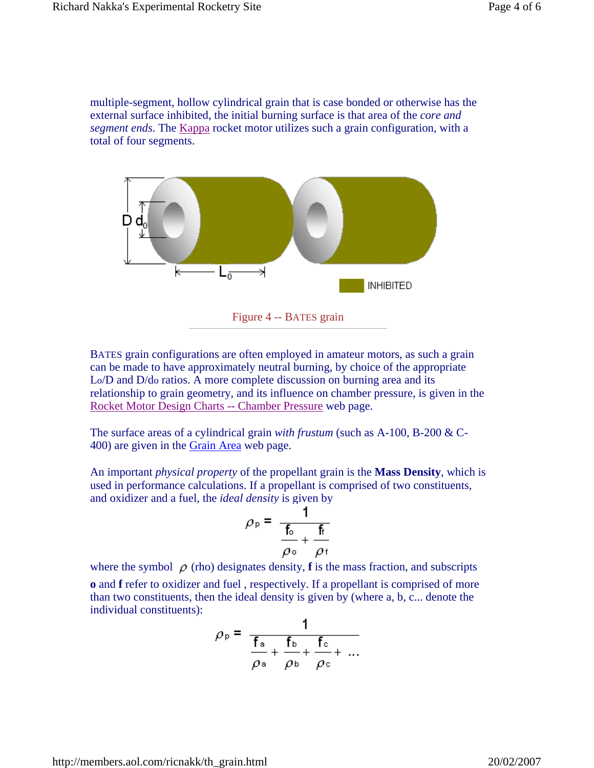multiple-segment, hollow cylindrical grain that is case bonded or otherwise has the external surface inhibited, the initial burning surface is that area of the *core and segment ends*. The Kappa rocket motor utilizes such a grain configuration, with a total of four segments.



BATES grain configurations are often employed in amateur motors, as such a grain can be made to have approximately neutral burning, by choice of the appropriate Lo/D and D/do ratios. A more complete discussion on burning area and its relationship to grain geometry, and its influence on chamber pressure, is given in the Rocket Motor Design Charts -- Chamber Pressure web page.

The surface areas of a cylindrical grain *with frustum* (such as A-100, B-200 & C-400) are given in the Grain Area web page.

An important *physical property* of the propellant grain is the **Mass Density**, which is used in performance calculations. If a propellant is comprised of two constituents, and oxidizer and a fuel, the *ideal density* is given by

$$
\rho_{\rm p} = \frac{1}{\frac{\mathbf{f}_{\rm o}}{\rho_{\rm o} + \frac{\mathbf{f}_{\rm f}}{\rho_{\rm f}}}}
$$

where the symbol  $\rho$  (rho) designates density, **f** is the mass fraction, and subscripts **o** and **f** refer to oxidizer and fuel , respectively. If a propellant is comprised of more than two constituents, then the ideal density is given by (where a, b, c... denote the individual constituents):

$$
\rho_{\rm p} = \frac{1}{\frac{f_{\rm a}}{\rho_{\rm a} + \frac{f_{\rm b}}{\rho_{\rm b} + \frac{f_{\rm c}}{\rho_{\rm c}} + \dots}}
$$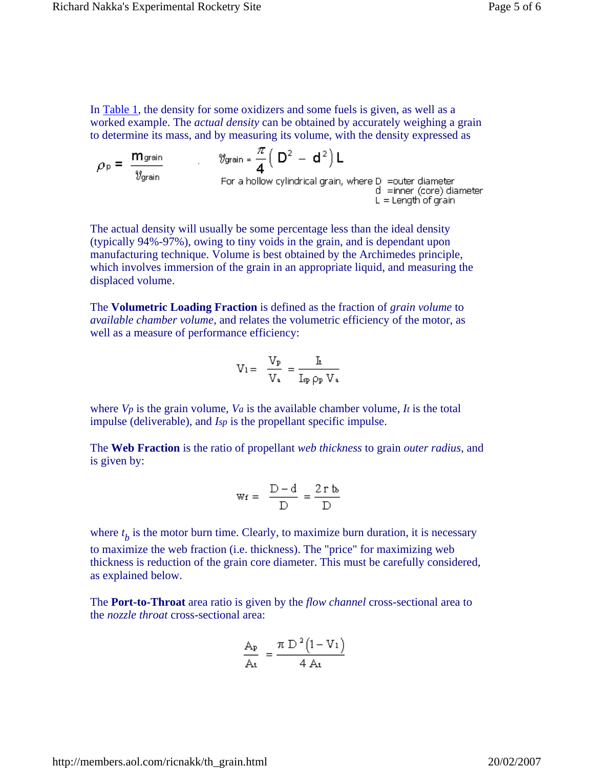In Table 1, the density for some oxidizers and some fuels is given, as well as a worked example. The *actual density* can be obtained by accurately weighing a grain

to determine its mass, and by measuring its volume, with the density expressed as<br>  $\rho_p = \frac{m_{grain}}{y_{grain}}$   $\frac{\pi}{4} \left( D^2 - d^2 \right) L$ <br>
For a hollow cylindrical grain, where D, couter diameter For a hollow cylindrical grain, where D =outer diameter<br>d =inner (core) diameter<br>L = Length of grain

The actual density will usually be some percentage less than the ideal density (typically 94%-97%), owing to tiny voids in the grain, and is dependant upon manufacturing technique. Volume is best obtained by the Archimedes principle, which involves immersion of the grain in an appropriate liquid, and measuring the displaced volume.

The **Volumetric Loading Fraction** is defined as the fraction of *grain volume* to *available chamber volume*, and relates the volumetric efficiency of the motor, as well as a measure of performance efficiency:

$$
\text{V}_1 = \frac{\text{V}_{\text{P}}}{\text{V}_{\text{a}}} = \frac{\text{I}_{\text{t}}}{\text{I}_{\text{sp}} \rho_{\text{P}} \text{V}_{\text{a}}}
$$

where  $V_p$  is the grain volume,  $V_a$  is the available chamber volume,  $I_t$  is the total impulse (deliverable), and *Isp* is the propellant specific impulse.

The **Web Fraction** is the ratio of propellant *web thickness* to grain *outer radius*, and is given by:

$$
Wf = \frac{D - d}{D} = \frac{2r b}{D}
$$

where  $t_b$  is the motor burn time. Clearly, to maximize burn duration, it is necessary to maximize the web fraction (i.e. thickness). The "price" for maximizing web thickness is reduction of the grain core diameter. This must be carefully considered, as explained below.

The **Port-to-Throat** area ratio is given by the *flow channel* cross-sectional area to the *nozzle throat* cross-sectional area:

$$
\frac{A_{\rm P}}{A_{\rm t}} = \frac{\pi \, D^2 (1-V_1)}{4 \, A_{\rm t}}
$$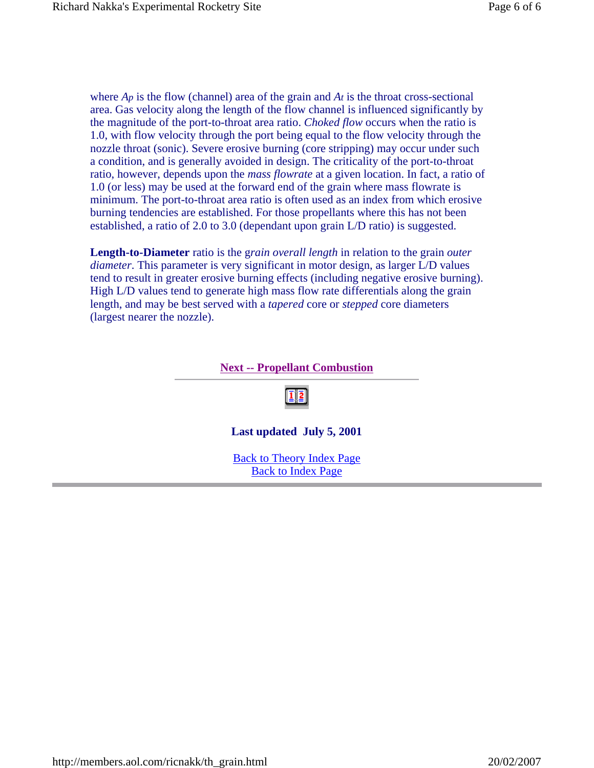where  $A_p$  is the flow (channel) area of the grain and  $A_t$  is the throat cross-sectional area. Gas velocity along the length of the flow channel is influenced significantly by the magnitude of the port-to-throat area ratio. *Choked flow* occurs when the ratio is 1.0, with flow velocity through the port being equal to the flow velocity through the nozzle throat (sonic). Severe erosive burning (core stripping) may occur under such a condition, and is generally avoided in design. The criticality of the port-to-throat ratio, however, depends upon the *mass flowrate* at a given location. In fact, a ratio of 1.0 (or less) may be used at the forward end of the grain where mass flowrate is minimum. The port-to-throat area ratio is often used as an index from which erosive burning tendencies are established. For those propellants where this has not been established, a ratio of 2.0 to 3.0 (dependant upon grain L/D ratio) is suggested.

**Length-to-Diameter** ratio is the g*rain overall length* in relation to the grain *outer diameter*. This parameter is very significant in motor design, as larger L/D values tend to result in greater erosive burning effects (including negative erosive burning). High L/D values tend to generate high mass flow rate differentials along the grain length, and may be best served with a *tapered* core or *stepped* core diameters (largest nearer the nozzle).

#### **Next -- Propellant Combustion**

112

#### **Last updated July 5, 2001**

Back to Theory Index Page Back to Index Page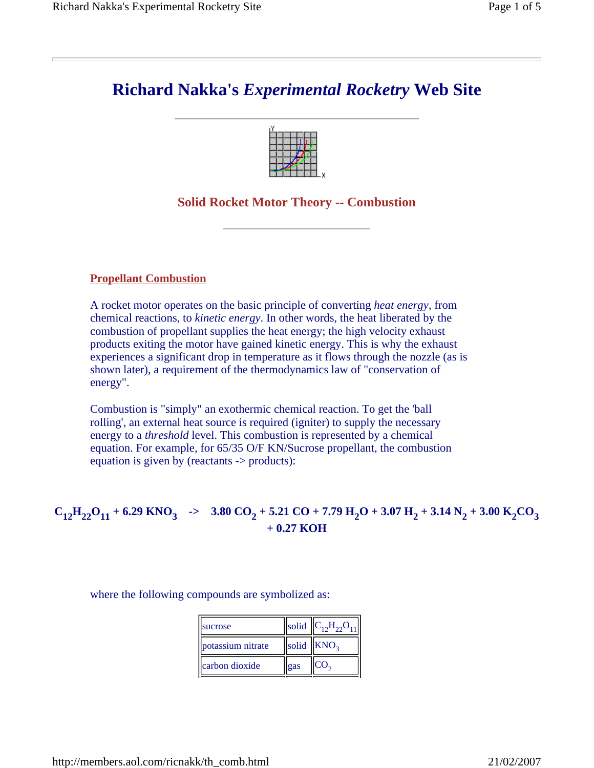

### **Solid Rocket Motor Theory -- Combustion**

**Propellant Combustion**

A rocket motor operates on the basic principle of converting *heat energy*, from chemical reactions, to *kinetic energy*. In other words, the heat liberated by the combustion of propellant supplies the heat energy; the high velocity exhaust products exiting the motor have gained kinetic energy. This is why the exhaust experiences a significant drop in temperature as it flows through the nozzle (as is shown later), a requirement of the thermodynamics law of "conservation of energy".

Combustion is "simply" an exothermic chemical reaction. To get the 'ball rolling', an external heat source is required (igniter) to supply the necessary energy to a *threshold* level. This combustion is represented by a chemical equation. For example, for 65/35 O/F KN/Sucrose propellant, the combustion equation is given by (reactants -> products):

### $C_{12}H_{22}O_{11}$  + 6.29 KNO<sub>3</sub>  $\rightarrow$  3.80 CO<sub>2</sub> + 5.21 CO + 7.79 H<sub>2</sub>O + 3.07 H<sub>2</sub> + 3.14 N<sub>2</sub> + 3.00 K<sub>2</sub>CO<sub>3</sub> **+ 0.27 KOH**

#### where the following compounds are symbolized as:

| sucrose           |     | solid $ C_{12}H_{22}O_{11} $ |
|-------------------|-----|------------------------------|
| potassium nitrate |     | solid $KNO3$                 |
| carbon dioxide    | gas | CO.                          |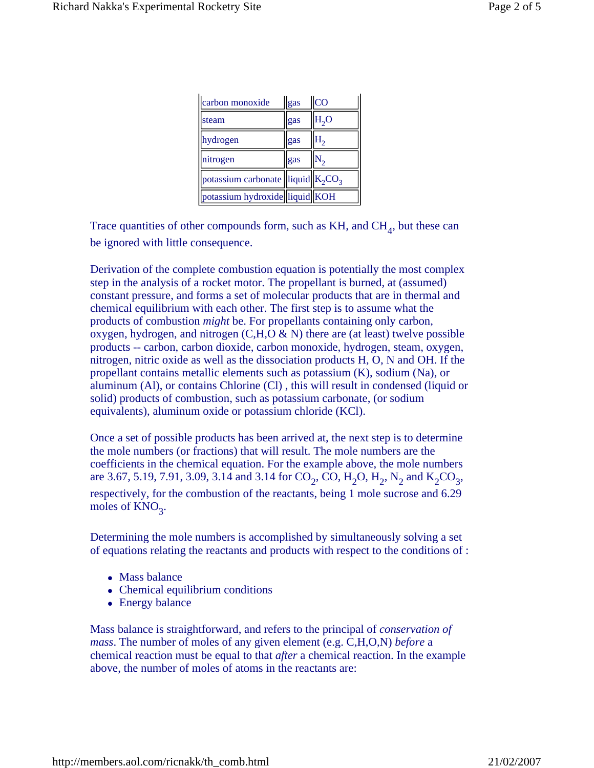| carbon monoxide                                | gas | CO               |
|------------------------------------------------|-----|------------------|
| steam                                          | gas | H <sub>2</sub> O |
| hydrogen                                       | gas | H <sub>2</sub>   |
| nitrogen                                       | gas |                  |
| potassium carbonate $\ \text{liquid}\ K_2CO_3$ |     |                  |
| potassium hydroxide  liquid  KOH               |     |                  |

Trace quantities of other compounds form, such as  $KH$ , and  $CH_4$ , but these can be ignored with little consequence.

Derivation of the complete combustion equation is potentially the most complex step in the analysis of a rocket motor. The propellant is burned, at (assumed) constant pressure, and forms a set of molecular products that are in thermal and chemical equilibrium with each other. The first step is to assume what the products of combustion *might* be. For propellants containing only carbon, oxygen, hydrogen, and nitrogen  $(C, H, O \& N)$  there are (at least) twelve possible products -- carbon, carbon dioxide, carbon monoxide, hydrogen, steam, oxygen, nitrogen, nitric oxide as well as the dissociation products H, O, N and OH. If the propellant contains metallic elements such as potassium (K), sodium (Na), or aluminum (Al), or contains Chlorine (Cl) , this will result in condensed (liquid or solid) products of combustion, such as potassium carbonate, (or sodium equivalents), aluminum oxide or potassium chloride (KCl).

Once a set of possible products has been arrived at, the next step is to determine the mole numbers (or fractions) that will result. The mole numbers are the coefficients in the chemical equation. For the example above, the mole numbers are 3.67, 5.19, 7.91, 3.09, 3.14 and 3.14 for  $CO_2$ ,  $CO$ ,  $H_2O$ ,  $H_2$ ,  $N_2$  and  $K_2CO_3$ , respectively, for the combustion of the reactants, being 1 mole sucrose and 6.29 moles of KNO<sub>3</sub>.

Determining the mole numbers is accomplished by simultaneously solving a set of equations relating the reactants and products with respect to the conditions of :

- Mass balance
- Chemical equilibrium conditions
- Energy balance

Mass balance is straightforward, and refers to the principal of *conservation of mass*. The number of moles of any given element (e.g. C,H,O,N) *before* a chemical reaction must be equal to that *after* a chemical reaction. In the example above, the number of moles of atoms in the reactants are: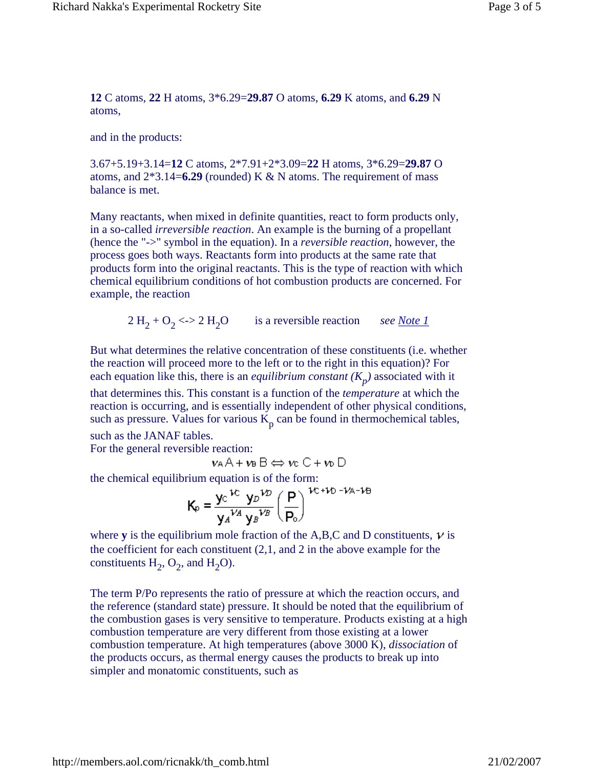**12** C atoms, **22** H atoms, 3\*6.29=**29.87** O atoms, **6.29** K atoms, and **6.29** N atoms,

and in the products:

3.67+5.19+3.14=**12** C atoms, 2\*7.91+2\*3.09=**22** H atoms, 3\*6.29=**29.87** O atoms, and 2\*3.14=**6.29** (rounded) K & N atoms. The requirement of mass balance is met.

Many reactants, when mixed in definite quantities, react to form products only, in a so-called *irreversible reaction*. An example is the burning of a propellant (hence the "->" symbol in the equation). In a *reversible reaction*, however, the process goes both ways. Reactants form into products at the same rate that products form into the original reactants. This is the type of reaction with which chemical equilibrium conditions of hot combustion products are concerned. For example, the reaction

 $2 H_2 + O_2 \le 2 H_2 O$  is a reversible reaction *see* <u>Note 1</u>

But what determines the relative concentration of these constituents (i.e. whether the reaction will proceed more to the left or to the right in this equation)? For each equation like this, there is an *equilibrium constant (K<sup>p</sup> )* associated with it

that determines this. This constant is a function of the *temperature* at which the reaction is occurring, and is essentially independent of other physical conditions, such as pressure. Values for various  $K_p$  can be found in thermochemical tables, such as the JANAF tables.

For the general reversible reaction:

$$
v_A A + v_B B \Leftrightarrow v_C C + v_D D
$$

the chemical equilibrium equation is of the form:<br> $W = W_0 \times W_1 + W_2 + W_3 + W_4$ 

$$
K_{p} = \frac{y_{c}^{kC} y_{D}^{kD}}{y_{A}^{kA} y_{B}^{kB}} \left(\frac{P}{P_{o}}\right)^{kC+1}
$$

where **y** is the equilibrium mole fraction of the A,B,C and D constituents,  $\nu$  is the coefficient for each constituent  $(2,1, \text{ and } 2 \text{ in the above example for the})$ constituents  $H_2$ ,  $O_2$ , and  $H_2O$ ).

The term P/Po represents the ratio of pressure at which the reaction occurs, and the reference (standard state) pressure. It should be noted that the equilibrium of the combustion gases is very sensitive to temperature. Products existing at a high combustion temperature are very different from those existing at a lower combustion temperature. At high temperatures (above 3000 K), *dissociation* of the products occurs, as thermal energy causes the products to break up into simpler and monatomic constituents, such as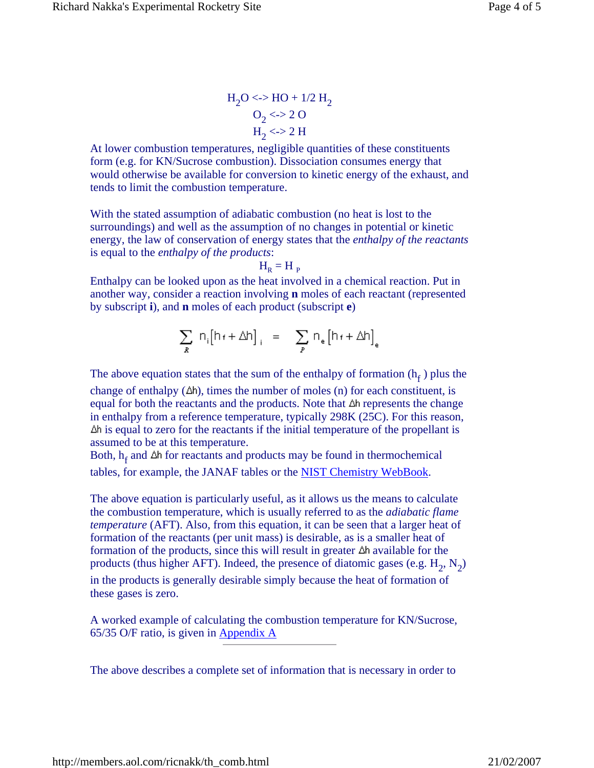H<sub>2</sub>O 
$$
\Leftrightarrow
$$
 HO + 1/2 H<sub>2</sub>  
O<sub>2</sub>  $\Leftrightarrow$  2 O  
H<sub>2</sub>  $\Leftrightarrow$  2 H

At lower combustion temperatures, negligible quantities of these constituents form (e.g. for KN/Sucrose combustion). Dissociation consumes energy that would otherwise be available for conversion to kinetic energy of the exhaust, and tends to limit the combustion temperature.

With the stated assumption of adiabatic combustion (no heat is lost to the surroundings) and well as the assumption of no changes in potential or kinetic energy, the law of conservation of energy states that the *enthalpy of the reactants* is equal to the *enthalpy of the products*:

$$
H_R = H_P
$$

Enthalpy can be looked upon as the heat involved in a chemical reaction. Put in another way, consider a reaction involving **n** moles of each reactant (represented by subscript **i**), and **n** moles of each product (subscript **e**)

$$
\sum_{R} n_i \big[ h_f + \Delta h \big]_i = \sum_{P} n_e \big[ h_f + \Delta h \big]_e
$$

The above equation states that the sum of the enthalpy of formation  $(h_f)$  plus the

change of enthalpy  $(\Delta h)$ , times the number of moles (n) for each constituent, is equal for both the reactants and the products. Note that  $\Delta h$  represents the change in enthalpy from a reference temperature, typically 298K (25C). For this reason,  $\Delta h$  is equal to zero for the reactants if the initial temperature of the propellant is assumed to be at this temperature.

Both,  $h_f$  and  $\Delta h$  for reactants and products may be found in thermochemical tables, for example, the JANAF tables or the **NIST Chemistry WebBook**.

The above equation is particularly useful, as it allows us the means to calculate the combustion temperature, which is usually referred to as the *adiabatic flame temperature* (AFT). Also, from this equation, it can be seen that a larger heat of formation of the reactants (per unit mass) is desirable, as is a smaller heat of formation of the products, since this will result in greater  $\Delta h$  available for the products (thus higher AFT). Indeed, the presence of diatomic gases (e.g.  $H_2$ ,  $N_2$ )

in the products is generally desirable simply because the heat of formation of these gases is zero.

A worked example of calculating the combustion temperature for KN/Sucrose, 65/35 O/F ratio, is given in Appendix A

The above describes a complete set of information that is necessary in order to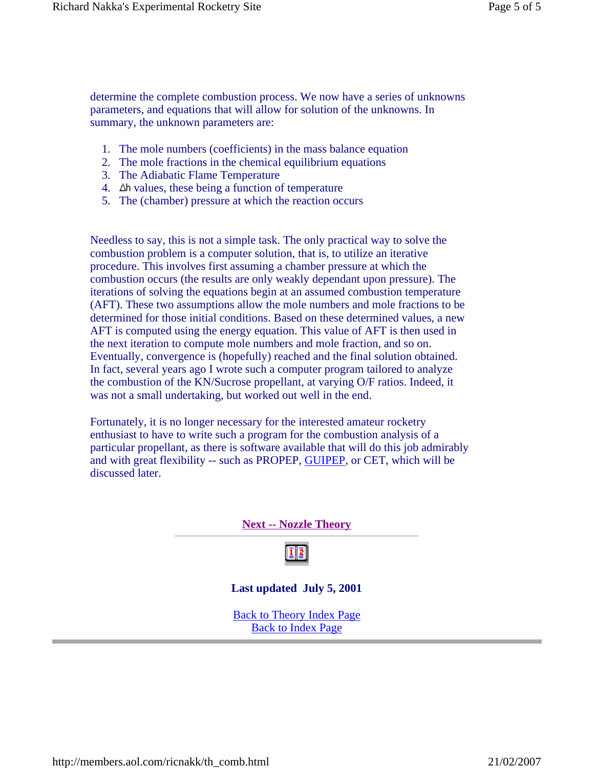determine the complete combustion process. We now have a series of unknowns parameters, and equations that will allow for solution of the unknowns. In summary, the unknown parameters are:

- 1. The mole numbers (coefficients) in the mass balance equation
- 2. The mole fractions in the chemical equilibrium equations
- 3. The Adiabatic Flame Temperature
- 4.  $\Delta h$  values, these being a function of temperature
- 5. The (chamber) pressure at which the reaction occurs

Needless to say, this is not a simple task. The only practical way to solve the combustion problem is a computer solution, that is, to utilize an iterative procedure. This involves first assuming a chamber pressure at which the combustion occurs (the results are only weakly dependant upon pressure). The iterations of solving the equations begin at an assumed combustion temperature (AFT). These two assumptions allow the mole numbers and mole fractions to be determined for those initial conditions. Based on these determined values, a new AFT is computed using the energy equation. This value of AFT is then used in the next iteration to compute mole numbers and mole fraction, and so on. Eventually, convergence is (hopefully) reached and the final solution obtained. In fact, several years ago I wrote such a computer program tailored to analyze the combustion of the KN/Sucrose propellant, at varying O/F ratios. Indeed, it was not a small undertaking, but worked out well in the end.

Fortunately, it is no longer necessary for the interested amateur rocketry enthusiast to have to write such a program for the combustion analysis of a particular propellant, as there is software available that will do this job admirably and with great flexibility -- such as PROPEP, GUIPEP, or CET, which will be discussed later.

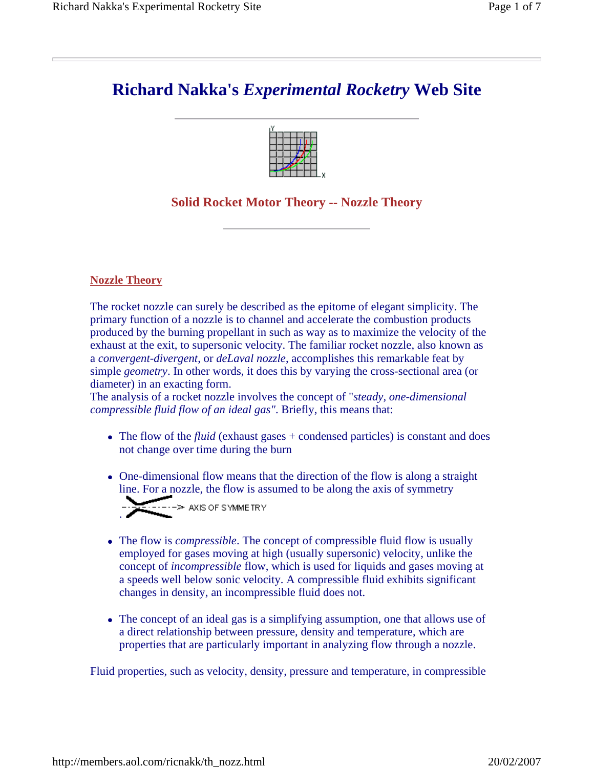

### **Solid Rocket Motor Theory -- Nozzle Theory**

**Nozzle Theory**

The rocket nozzle can surely be described as the epitome of elegant simplicity. The primary function of a nozzle is to channel and accelerate the combustion products produced by the burning propellant in such as way as to maximize the velocity of the exhaust at the exit, to supersonic velocity. The familiar rocket nozzle, also known as a *convergent-divergent*, or *deLaval nozzle*, accomplishes this remarkable feat by simple *geometry*. In other words, it does this by varying the cross-sectional area (or diameter) in an exacting form.

The analysis of a rocket nozzle involves the concept of "*steady, one-dimensional compressible fluid flow of an ideal gas"*. Briefly, this means that:

- The flow of the *fluid* (exhaust gases + condensed particles) is constant and does not change over time during the burn
- One-dimensional flow means that the direction of the flow is along a straight line. For a nozzle, the flow is assumed to be along the axis of symmetry



- The flow is *compressible*. The concept of compressible fluid flow is usually employed for gases moving at high (usually supersonic) velocity, unlike the concept of *incompressible* flow, which is used for liquids and gases moving at a speeds well below sonic velocity. A compressible fluid exhibits significant changes in density, an incompressible fluid does not.
- The concept of an ideal gas is a simplifying assumption, one that allows use of a direct relationship between pressure, density and temperature, which are properties that are particularly important in analyzing flow through a nozzle.

Fluid properties, such as velocity, density, pressure and temperature, in compressible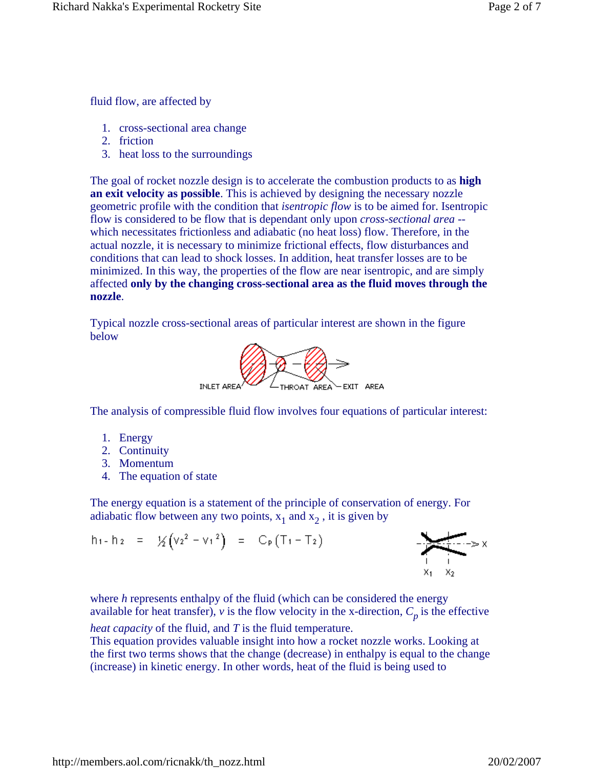fluid flow, are affected by

- 1. cross-sectional area change
- 2. friction
- 3. heat loss to the surroundings

The goal of rocket nozzle design is to accelerate the combustion products to as **high an exit velocity as possible**. This is achieved by designing the necessary nozzle geometric profile with the condition that *isentropic flow* is to be aimed for. Isentropic flow is considered to be flow that is dependant only upon *cross-sectional area* - which necessitates frictionless and adiabatic (no heat loss) flow. Therefore, in the actual nozzle, it is necessary to minimize frictional effects, flow disturbances and conditions that can lead to shock losses. In addition, heat transfer losses are to be minimized. In this way, the properties of the flow are near isentropic, and are simply affected **only by the changing cross-sectional area as the fluid moves through the nozzle**.

Typical nozzle cross-sectional areas of particular interest are shown in the figure below



The analysis of compressible fluid flow involves four equations of particular interest:

- 1. Energy
- 2. Continuity
- 3. Momentum
- 4. The equation of state

The energy equation is a statement of the principle of conservation of energy. For adiabatic flow between any two points,  $x_1$  and  $x_2$ , it is given by

h<sub>1</sub>-h<sub>2</sub> = 
$$
\frac{1}{2}(v_2^2 - v_1^2) = C_p(T_1 - T_2)
$$
  
 $\frac{1}{x_1} \times \frac{1}{x_2} \rightarrow x$ 

where *h* represents enthalpy of the fluid (which can be considered the energy available for heat transfer),  $\nu$  is the flow velocity in the x-direction,  $C_p$  is the effective

*heat capacity* of the fluid, and *T* is the fluid temperature.

This equation provides valuable insight into how a rocket nozzle works. Looking at the first two terms shows that the change (decrease) in enthalpy is equal to the change (increase) in kinetic energy. In other words, heat of the fluid is being used to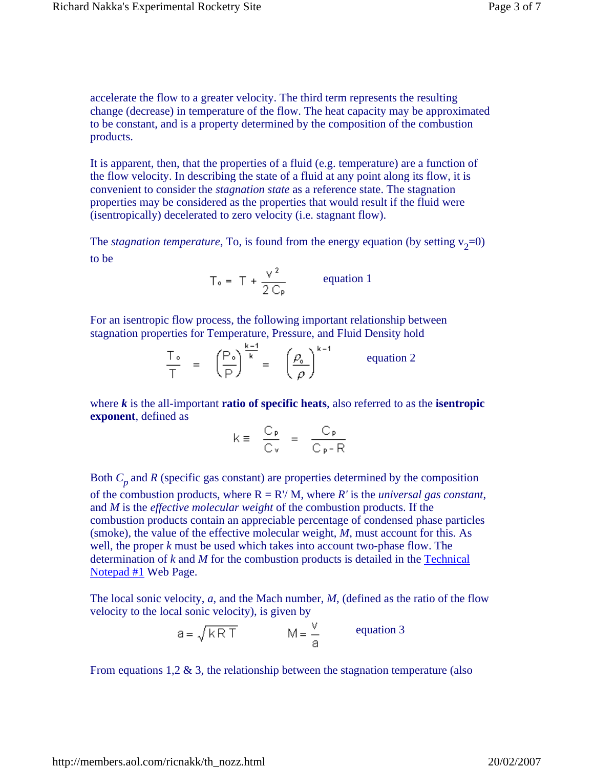accelerate the flow to a greater velocity. The third term represents the resulting change (decrease) in temperature of the flow. The heat capacity may be approximated to be constant, and is a property determined by the composition of the combustion products.

It is apparent, then, that the properties of a fluid (e.g. temperature) are a function of the flow velocity. In describing the state of a fluid at any point along its flow, it is convenient to consider the *stagnation state* as a reference state. The stagnation properties may be considered as the properties that would result if the fluid were (isentropically) decelerated to zero velocity (i.e. stagnant flow).

The *stagnation temperature*, To, is found from the energy equation (by setting  $v_2=0$ ) to be

$$
T_o = T + \frac{v^2}{2 C_p} \qquad \text{equation 1}
$$

For an isentropic flow process, the following important relationship between stagnation properties for Temperature, Pressure, and Fluid Density hold

$$
\frac{T_o}{T} = \left(\frac{P_o}{P}\right)^{\frac{K-1}{K}} = \left(\frac{\rho_o}{\rho}\right)^{K-1} \text{ equation 2}
$$

where  $k$  is the all-important **ratio of specific heats**, also referred to as the **isentropic exponent**, defined as

$$
k \equiv \begin{array}{cc} C_{\mathfrak{p}} \\ \overline{C}_{\mathfrak{v}} \end{array} = \begin{array}{cc} C_{\mathfrak{p}} \\ \overline{C_{\mathfrak{p}^{-}}}R \end{array}
$$

Both  $C_p$  and  $R$  (specific gas constant) are properties determined by the composition of the combustion products, where  $R = R'/M$ , where  $R'$  is the *universal gas constant*, and *M* is the *effective molecular weight* of the combustion products. If the combustion products contain an appreciable percentage of condensed phase particles (smoke), the value of the effective molecular weight, *M*, must account for this. As well, the proper *k* must be used which takes into account two-phase flow. The determination of *k* and *M* for the combustion products is detailed in the Technical Notepad #1 Web Page.

The local sonic velocity, *a*, and the Mach number, *M*, (defined as the ratio of the flow velocity to the local sonic velocity), is given by

$$
a = \sqrt{kRT} \qquad M = \frac{v}{a} \qquad \text{equation 3}
$$

From equations 1,2  $\&$  3, the relationship between the stagnation temperature (also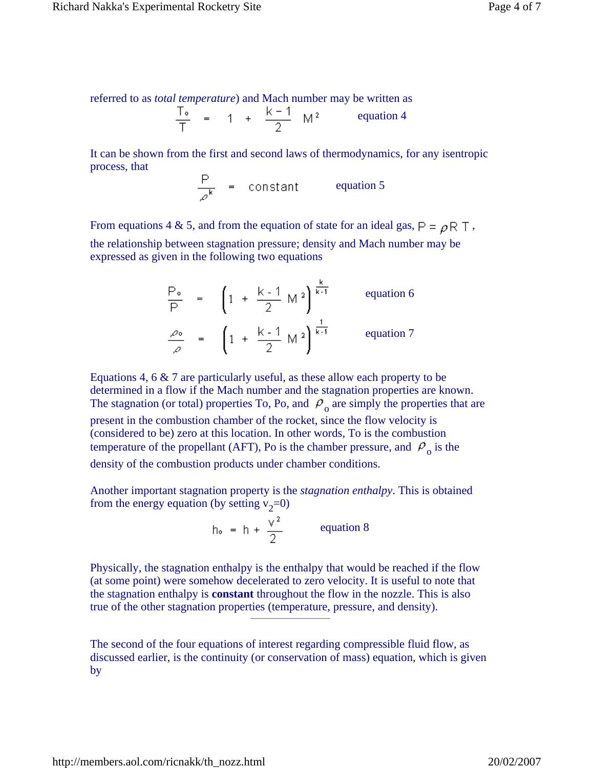referred to as *total temperature*) and Mach number may be written as

$$
\frac{T_o}{T} = 1 + \frac{k-1}{2} M^2
$$
 equation 4

It can be shown from the first and second laws of thermodynamics, for any isentropic process, that

$$
\frac{P}{e^{k}} = \text{constant} \qquad \text{equation 5}
$$

From equations 4 & 5, and from the equation of state for an ideal gas,  $P = \rho R T$ , the relationship between stagnation pressure; density and Mach number may be expressed as given in the following two equations

$$
\frac{P_{o}}{P} = \left(1 + \frac{k-1}{2} M^{2}\right)^{\frac{k}{k-1}} \text{ equation 6}
$$
  

$$
\frac{\rho_{o}}{\rho} = \left(1 + \frac{k-1}{2} M^{2}\right)^{\frac{1}{k-1}} \text{ equation 7}
$$

Equations 4, 6 & 7 are particularly useful, as these allow each property to be determined in a flow if the Mach number and the stagnation properties are known. The stagnation (or total) properties To, Po, and  $P_0$  are simply the properties that are present in the combustion chamber of the rocket, since the flow velocity is (considered to be) zero at this location. In other words, To is the combustion temperature of the propellant (AFT), Po is the chamber pressure, and  $P_{o}$  is the density of the combustion products under chamber conditions.

Another important stagnation property is the *stagnation enthalpy*. This is obtained from the energy equation (by setting  $v_2=0$ )

$$
h_o = h + \frac{v^2}{2} \qquad \qquad \text{equation 8}
$$

Physically, the stagnation enthalpy is the enthalpy that would be reached if the flow (at some point) were somehow decelerated to zero velocity. It is useful to note that the stagnation enthalpy is **constant** throughout the flow in the nozzle. This is also true of the other stagnation properties (temperature, pressure, and density).

The second of the four equations of interest regarding compressible fluid flow, as discussed earlier, is the continuity (or conservation of mass) equation, which is given by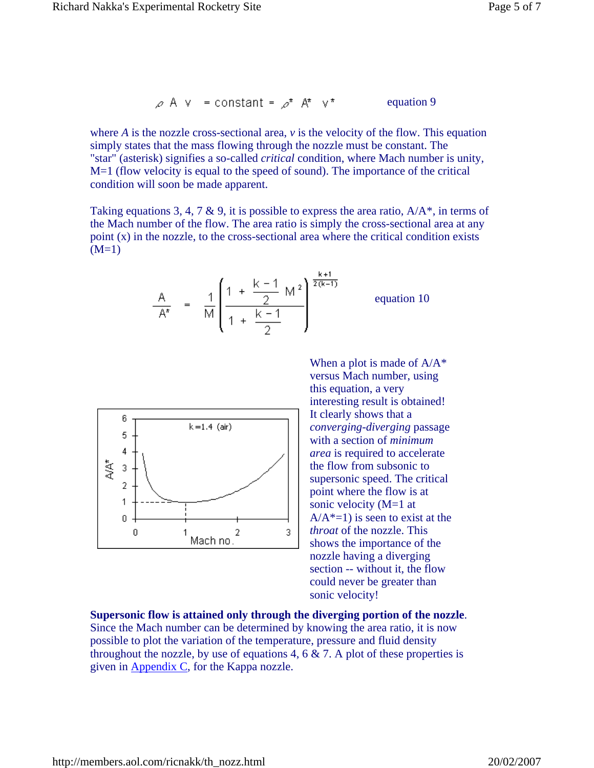$$
\rho
$$
 A v = constant =  $\rho^*$  A<sup>\*</sup> v<sup>\*</sup> equation 9

where *A* is the nozzle cross-sectional area, *v* is the velocity of the flow. This equation simply states that the mass flowing through the nozzle must be constant. The "star" (asterisk) signifies a so-called *critical* condition, where Mach number is unity, M=1 (flow velocity is equal to the speed of sound). The importance of the critical condition will soon be made apparent.

Taking equations 3, 4, 7 & 9, it is possible to express the area ratio,  $A/A^*$ , in terms of the Mach number of the flow. The area ratio is simply the cross-sectional area at any point (x) in the nozzle, to the cross-sectional area where the critical condition exists  $(M=1)$ 

$$
\frac{A}{A^*} = \frac{1}{M} \left( \frac{1 + \frac{k-1}{2} M^2}{1 + \frac{k-1}{2}} \right)^{\frac{k+1}{2(k-1)}} \text{ equation 10}
$$



When a plot is made of  $A/A^*$ versus Mach number, using this equation, a very interesting result is obtained! It clearly shows that a *converging-diverging* passage with a section of *minimum area* is required to accelerate the flow from subsonic to supersonic speed. The critical point where the flow is at sonic velocity (M=1 at  $A/A^*=1$ ) is seen to exist at the *throat* of the nozzle. This shows the importance of the nozzle having a diverging section -- without it, the flow could never be greater than sonic velocity!

**Supersonic flow is attained only through the diverging portion of the nozzle**. Since the Mach number can be determined by knowing the area ratio, it is now possible to plot the variation of the temperature, pressure and fluid density throughout the nozzle, by use of equations 4, 6  $\&$  7. A plot of these properties is given in Appendix C, for the Kappa nozzle.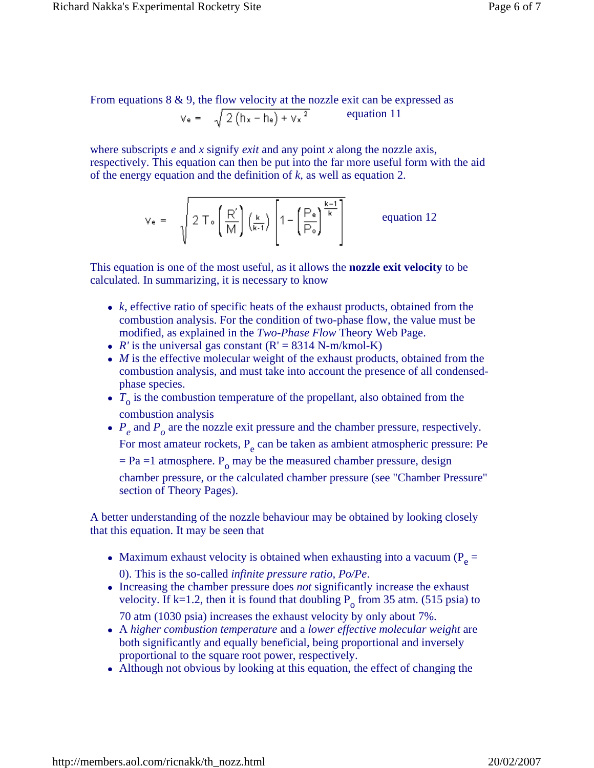From equations 8 & 9, the flow velocity at the nozzle exit can be expressed as  $\epsilon$  on 11

$$
V_e = \sqrt{2(h_x - h_e) + v_x^2}
$$
 equali

where subscripts *e* and *x* signify *exit* and any point *x* along the nozzle axis, respectively. This equation can then be put into the far more useful form with the aid of the energy equation and the definition of *k*, as well as equation 2.

$$
V_{e} = \sqrt{2 T_{o} \left(\frac{R^{'}}{M}\right) \left(\frac{k}{k \cdot 1}\right)} \left[1 - \left(\frac{P_{e}}{P_{o}}\right)^{\frac{k-1}{k}}\right] \hspace{1cm} \text{equation 12}
$$

This equation is one of the most useful, as it allows the **nozzle exit velocity** to be calculated. In summarizing, it is necessary to know

- *k*, effective ratio of specific heats of the exhaust products, obtained from the combustion analysis. For the condition of two-phase flow, the value must be modified, as explained in the *Two-Phase Flow* Theory Web Page.
- $R'$  is the universal gas constant  $(R' = 8314 \text{ N-m/kmol-K})$
- *M* is the effective molecular weight of the exhaust products, obtained from the combustion analysis, and must take into account the presence of all condensedphase species.
- $\bullet$   $T_0$  is the combustion temperature of the propellant, also obtained from the combustion analysis
- $P_e$  and  $P_o$  are the nozzle exit pressure and the chamber pressure, respectively.

For most amateur rockets, P<sub>e</sub> can be taken as ambient atmospheric pressure: Pe  $=$  Pa  $=$ 1 atmosphere. P<sub>o</sub> may be the measured chamber pressure, design

chamber pressure, or the calculated chamber pressure (see "Chamber Pressure" section of Theory Pages).

A better understanding of the nozzle behaviour may be obtained by looking closely that this equation. It may be seen that

- Maximum exhaust velocity is obtained when exhausting into a vacuum ( $P_e$  = 0). This is the so-called *infinite pressure ratio, Po/Pe*.
- Increasing the chamber pressure does *not* significantly increase the exhaust velocity. If  $k=1.2$ , then it is found that doubling  $P_0$  from 35 atm. (515 psia) to 70 atm (1030 psia) increases the exhaust velocity by only about 7%.
- A *higher combustion temperature* and a *lower effective molecular weight* are both significantly and equally beneficial, being proportional and inversely proportional to the square root power, respectively.
- Although not obvious by looking at this equation, the effect of changing the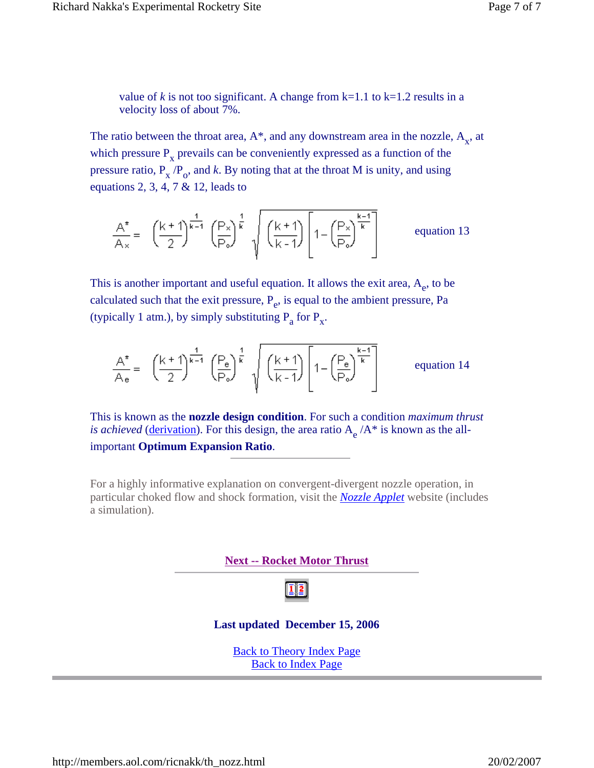The ratio between the throat area,  $A^*$ , and any downstream area in the nozzle,  $A_x$ , at which pressure  $P_x$  prevails can be conveniently expressed as a function of the pressure ratio,  $P_x / P_o$ , and *k*. By noting that at the throat M is unity, and using equations 2, 3, 4, 7 & 12, leads to

$$
\frac{A^*}{A_x} = \left(\frac{k+1}{2}\right)^{\frac{1}{k-1}} \left(\frac{P_x}{P_o}\right)^{\frac{1}{k}} \sqrt{\left(\frac{k+1}{k-1}\right) \left[1 - \left(\frac{P_x}{P_o}\right)^{\frac{k-1}{k}}\right]}
$$
 equation 13

This is another important and useful equation. It allows the exit area,  $A_e$ , to be calculated such that the exit pressure,  $P_e$ , is equal to the ambient pressure, Pa (typically 1 atm.), by simply substituting  $P_a$  for  $P_x$ .

$$
\frac{A^*}{A_e} = \left(\frac{k+1}{2}\right)^{\frac{1}{k-1}} \left(\frac{P_e}{P_o}\right)^{\frac{1}{k}} \sqrt{\left(\frac{k+1}{k-1}\right) \left[1 - \left(\frac{P_e}{P_o}\right)^{\frac{k-1}{k}}\right]}
$$
 equation 14

This is known as the **nozzle design condition**. For such a condition *maximum thrust is achieved* (derivation). For this design, the area ratio  $A_e/A^*$  is known as the allimportant **Optimum Expansion Ratio**.

For a highly informative explanation on convergent-divergent nozzle operation, in particular choked flow and shock formation, visit the *Nozzle Applet* website (includes a simulation).

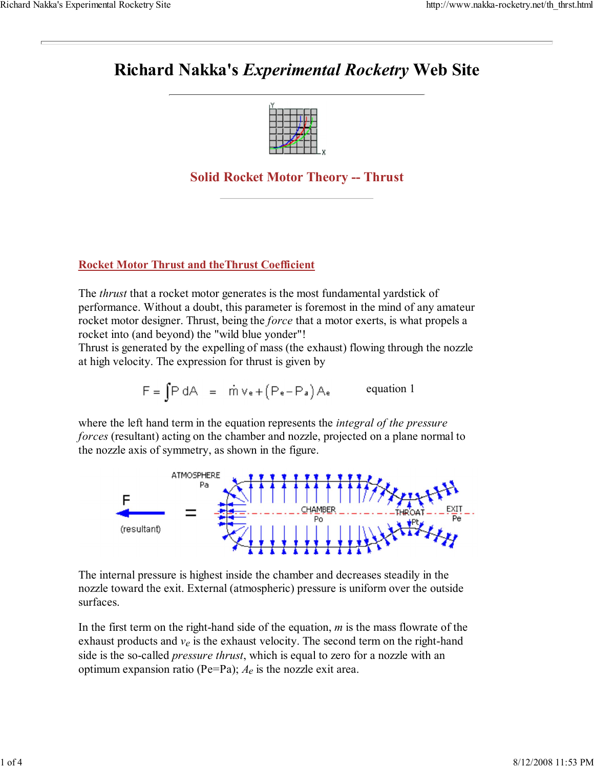

### **Solid Rocket Motor Theory Thrust**

#### **Rocket Motor Thrust and theThrust Coefficient**

The *thrust* that a rocket motor generates is the most fundamental yardstick of performance. Without a doubt, this parameter is foremost in the mind of any amateur rocket motor designer. Thrust, being the *force* that a motor exerts, is what propels a rocket into (and beyond) the "wild blue yonder"!

Thrust is generated by the expelling of mass (the exhaust) flowing through the nozzle at high velocity. The expression for thrust is given by

$$
F = \int P dA = \dot{m} v_e + (P_e - P_a) A_e
$$
 equation 1

where the left hand term in the equation represents the *integral of the pressure forces* (resultant) acting on the chamber and nozzle, projected on a plane normal to the nozzle axis of symmetry, as shown in the figure.



The internal pressure is highest inside the chamber and decreases steadily in the nozzle toward the exit. External (atmospheric) pressure is uniform over the outside surfaces.

In the first term on the right-hand side of the equation,  $m$  is the mass flowrate of the exhaust products and  $v_e$  is the exhaust velocity. The second term on the right-hand side is the so-called *pressure thrust*, which is equal to zero for a nozzle with an optimum expansion ratio (Pe=Pa); *Ae* is the nozzle exit area.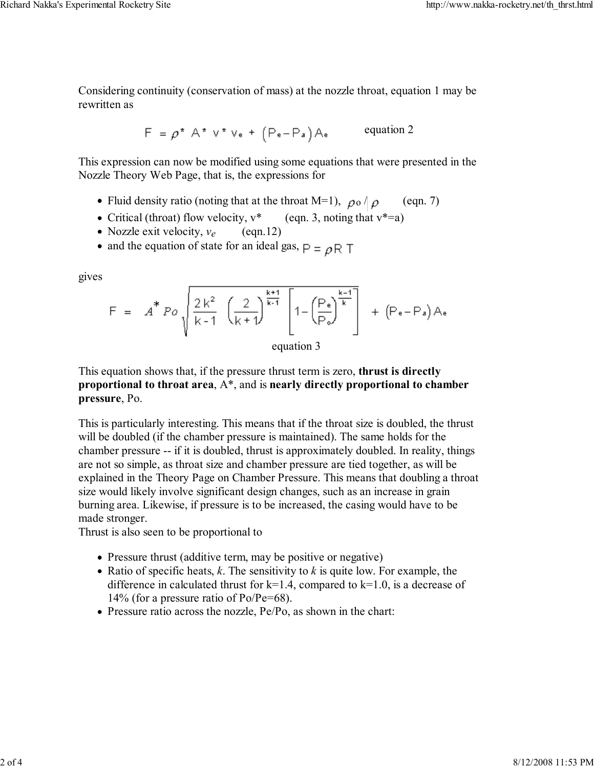Considering continuity (conservation of mass) at the nozzle throat, equation 1 may be rewritten as

$$
F = \rho^* A^* v^* v_e + (P_e - P_a) A_e
$$
 equation 2

This expression can now be modified using some equations that were presented in the Nozzle Theory Web Page, that is, the expressions for

- Fluid density ratio (noting that at the throat M=1),  $\rho_0 / \rho$  (eqn. 7)
- Critical (throat) flow velocity,  $v^*$  (eqn. 3, noting that  $v^* = a$ )
- Nozzle exit velocity,  $v_e$  (eqn.12)
- and the equation of state for an ideal gas,  $P = \rho R T$

gives

$$
F = A^* Po \sqrt{\frac{2 k^2}{k-1} \left(\frac{2}{k+1}\right)^{\frac{k+1}{k-1}} \left[1 - \left(\frac{Pe}{Pe}\right)^{\frac{k-1}{k}}\right]} + (Pe - Pe) Ae
$$
  
equation 3

This equation shows that, if the pressure thrust term is zero, **thrust is directly proportional to throat area**, A\*, and is **nearly directly proportional to chamber pressure**, Po.

This is particularly interesting. This means that if the throat size is doubled, the thrust will be doubled (if the chamber pressure is maintained). The same holds for the chamber pressure -- if it is doubled, thrust is approximately doubled. In reality, things are not so simple, as throat size and chamber pressure are tied together, as will be explained in the Theory Page on Chamber Pressure. This means that doubling a throat size would likely involve significant design changes, such as an increase in grain burning area. Likewise, if pressure is to be increased, the casing would have to be made stronger.

Thrust is also seen to be proportional to

- Pressure thrust (additive term, may be positive or negative)
- Ratio of specific heats, *k*. The sensitivity to *k* is quite low. For example, the difference in calculated thrust for  $k=1.4$ , compared to  $k=1.0$ , is a decrease of 14% (for a pressure ratio of Po/Pe=68).
- Pressure ratio across the nozzle, Pe/Po, as shown in the chart: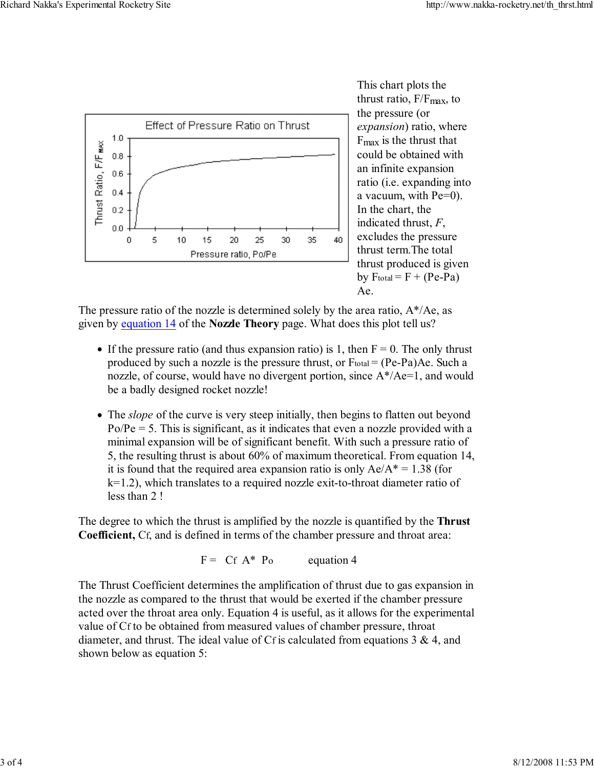

This chart plots the thrust ratio,  $F/F_{\text{max}}$ , to the pressure (or *expansion*) ratio, where Fmax is the thrust that could be obtained with an infinite expansion ratio (i.e. expanding into a vacuum, with Pe=0). In the chart, the indicated thrust, *F*, excludes the pressure thrust term.The total thrust produced is given by  $\text{Ftotal} = \text{F} + (\text{Pe-Pa})$ Ae.

The pressure ratio of the nozzle is determined solely by the area ratio, A\*/Ae, as given by equation 14 of the **Nozzle Theory** page. What does this plot tell us?

- If the pressure ratio (and thus expansion ratio) is 1, then  $F = 0$ . The only thrust produced by such a nozzle is the pressure thrust, or  $F_{total} = (Pe - Pa)Ae$ . Such a nozzle, of course, would have no divergent portion, since A\*/Ae=1, and would be a badly designed rocket nozzle!
- The *slope* of the curve is very steep initially, then begins to flatten out beyond  $Po/Pe = 5$ . This is significant, as it indicates that even a nozzle provided with a minimal expansion will be of significant benefit. With such a pressure ratio of 5, the resulting thrust is about 60% of maximum theoretical. From equation 14, it is found that the required area expansion ratio is only  $Ae/A^* = 1.38$  (for  $k=1.2$ ), which translates to a required nozzle exit-to-throat diameter ratio of less than 2 !

The degree to which the thrust is amplified by the nozzle is quantified by the **Thrust Coefficient,** Cf, and is defined in terms of the chamber pressure and throat area:

 $F = Cf A^* Po$  equation 4

The Thrust Coefficient determines the amplification of thrust due to gas expansion in the nozzle as compared to the thrust that would be exerted if the chamber pressure acted over the throat area only. Equation 4 is useful, as it allows for the experimental value of Cf to be obtained from measured values of chamber pressure, throat diameter, and thrust. The ideal value of Cf is calculated from equations 3 & 4, and shown below as equation 5: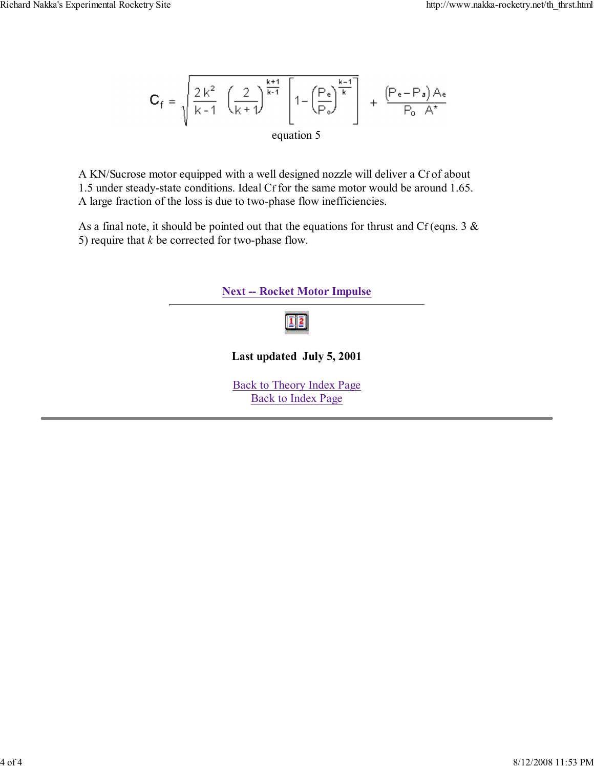$$
\mathbf{C}_{f} = \sqrt{\frac{2 k^{2}}{k-1} \left(\frac{2}{k+1}\right)^{\frac{k+1}{k-1}} \left[1 - \left(\frac{P_{e}}{P_{o}}\right)^{\frac{k-1}{k}}\right]} + \frac{\left(P_{e} - P_{a}\right) A_{e}}{P_{o} A^{*}}
$$
  
equation 5

A KN/Sucrose motor equipped with a well designed nozzle will deliver a Cf of about 1.5 under steady-state conditions. Ideal Cf for the same motor would be around 1.65. A large fraction of the loss is due to two-phase flow inefficiencies.

As a final note, it should be pointed out that the equations for thrust and Cf (eqns. 3  $\&$ 5) require that  $k$  be corrected for two-phase flow.

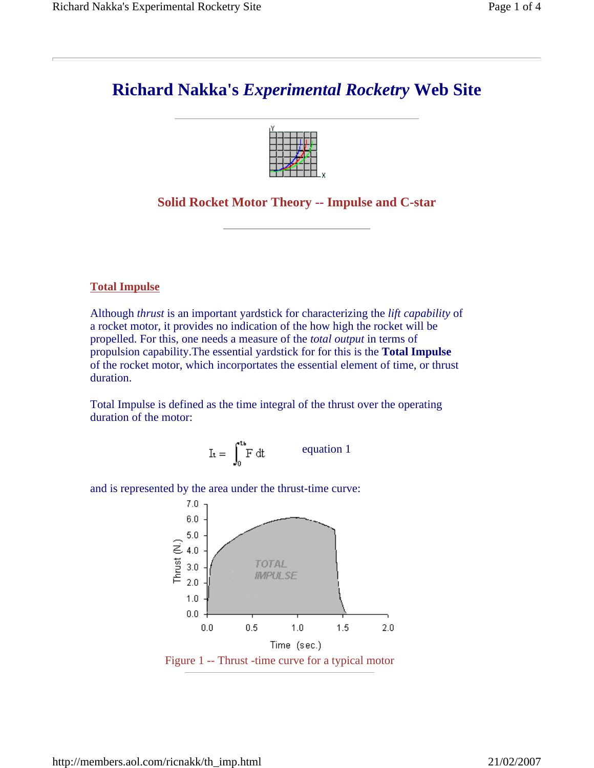

### **Solid Rocket Motor Theory -- Impulse and C-star**

**Total Impulse**

Although *thrust* is an important yardstick for characterizing the *lift capability* of a rocket motor, it provides no indication of the how high the rocket will be propelled. For this, one needs a measure of the *total output* in terms of propulsion capability.The essential yardstick for for this is the **Total Impulse** of the rocket motor, which incorportates the essential element of time, or thrust duration.

Total Impulse is defined as the time integral of the thrust over the operating duration of the motor:

$$
I_t = \int_0^{t_b} F dt
$$
 equation 1

and is represented by the area under the thrust-time curve:

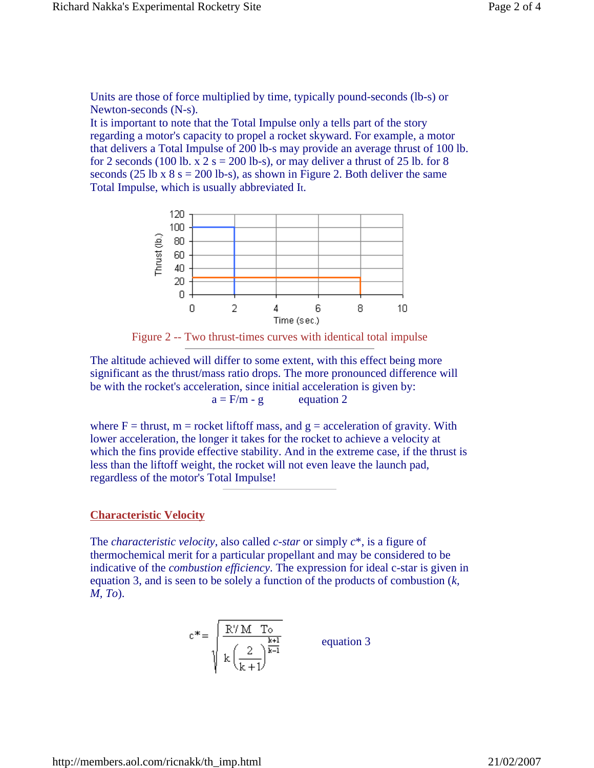Units are those of force multiplied by time, typically pound-seconds (lb-s) or Newton-seconds (N-s).

It is important to note that the Total Impulse only a tells part of the story regarding a motor's capacity to propel a rocket skyward. For example, a motor that delivers a Total Impulse of 200 lb-s may provide an average thrust of 100 lb. for 2 seconds (100 lb. x  $2 s = 200$  lb-s), or may deliver a thrust of 25 lb. for 8 seconds (25 lb x  $8 \text{ s} = 200 \text{ lb-s}$ ), as shown in Figure 2. Both deliver the same Total Impulse, which is usually abbreviated It.



Figure 2 -- Two thrust-times curves with identical total impulse

The altitude achieved will differ to some extent, with this effect being more significant as the thrust/mass ratio drops. The more pronounced difference will be with the rocket's acceleration, since initial acceleration is given by:  $a = F/m - g$  equation 2

where  $F =$  thrust,  $m =$  rocket liftoff mass, and  $g =$  acceleration of gravity. With lower acceleration, the longer it takes for the rocket to achieve a velocity at which the fins provide effective stability. And in the extreme case, if the thrust is less than the liftoff weight, the rocket will not even leave the launch pad, regardless of the motor's Total Impulse!

#### **Characteristic Velocity**

The *characteristic velocity*, also called *c-star* or simply *c*\*, is a figure of thermochemical merit for a particular propellant and may be considered to be indicative of the *combustion efficiency*. The expression for ideal c-star is given in equation 3, and is seen to be solely a function of the products of combustion (*k, M, To*).

$$
c^* = \sqrt{\frac{R'/M \ T_O}{k \left(\frac{2}{k+1}\right)^{\frac{k+1}{k-1}}}}
$$
 equation 3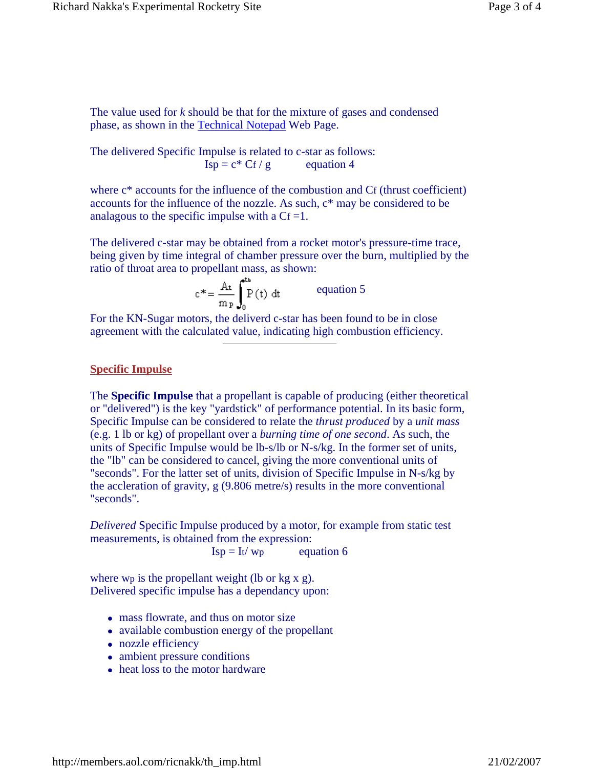The value used for *k* should be that for the mixture of gases and condensed phase, as shown in the Technical Notepad Web Page.

The delivered Specific Impulse is related to c-star as follows:  $Isp = c \cdot \text{Cf} / g$  equation 4

where  $c^*$  accounts for the influence of the combustion and Cf (thrust coefficient) accounts for the influence of the nozzle. As such, c\* may be considered to be analagous to the specific impulse with a  $C_f = 1$ .

The delivered c-star may be obtained from a rocket motor's pressure-time trace, being given by time integral of chamber pressure over the burn, multiplied by the ratio of throat area to propellant mass, as shown:

$$
c^* = \frac{A_t}{m_P} \int_0^{t_b} P(t) dt
$$
 equation 5

For the KN-Sugar motors, the deliverd c-star has been found to be in close agreement with the calculated value, indicating high combustion efficiency.

#### **Specific Impulse**

The **Specific Impulse** that a propellant is capable of producing (either theoretical or "delivered") is the key "yardstick" of performance potential. In its basic form, Specific Impulse can be considered to relate the *thrust produced* by a *unit mass*  (e.g. 1 lb or kg) of propellant over a *burning time of one second*. As such, the units of Specific Impulse would be lb-s/lb or N-s/kg. In the former set of units, the "lb" can be considered to cancel, giving the more conventional units of "seconds". For the latter set of units, division of Specific Impulse in N-s/kg by the accleration of gravity, g (9.806 metre/s) results in the more conventional "seconds".

*Delivered* Specific Impulse produced by a motor, for example from static test measurements, is obtained from the expression:

$$
Isp = It / wp \t\t equivalent to
$$

where wp is the propellant weight (lb or  $kg \times g$ ). Delivered specific impulse has a dependancy upon:

- mass flowrate, and thus on motor size
- available combustion energy of the propellant
- nozzle efficiency
- ambient pressure conditions
- heat loss to the motor hardware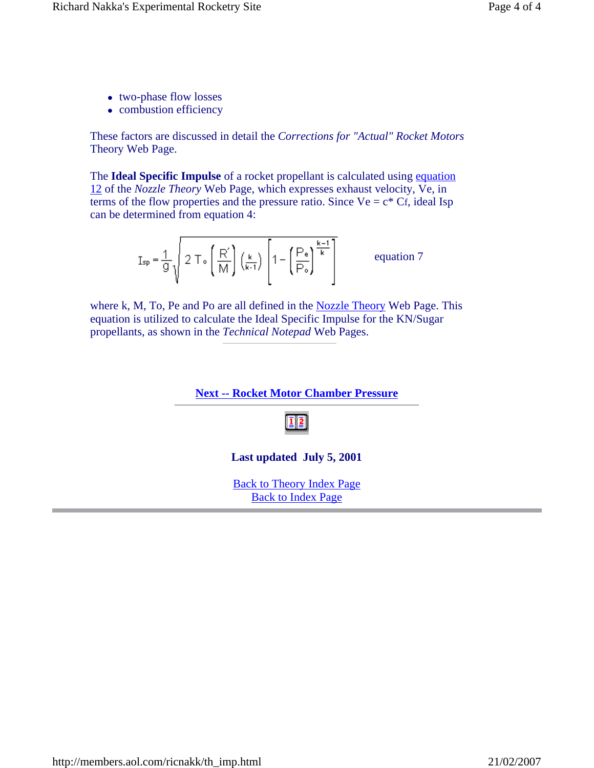- two-phase flow losses
- combustion efficiency

These factors are discussed in detail the *Corrections for "Actual" Rocket Motors* Theory Web Page.

The **Ideal Specific Impulse** of a rocket propellant is calculated using equation 12 of the *Nozzle Theory* Web Page, which expresses exhaust velocity, Ve, in terms of the flow properties and the pressure ratio. Since  $Ve = c^* Cf$ , ideal Isp can be determined from equation 4:

$$
I_{sp} = \frac{1}{g} \sqrt{2 \text{ T.}_\circ \left(\frac{R'}{M}\right) \left(\frac{k}{k+1}\right)} \left[1 - \left(\frac{P_e}{P_o}\right)^{\frac{k-1}{k}}\right] \qquad \qquad \text{equation 7}
$$

where k, M, To, Pe and Po are all defined in the Nozzle Theory Web Page. This equation is utilized to calculate the Ideal Specific Impulse for the KN/Sugar propellants, as shown in the *Technical Notepad* Web Pages.

### **Next -- Rocket Motor Chamber Pressure**

# <u>II2 |</u>

### **Last updated July 5, 2001**

Back to Theory Index Page **Back to Index Page**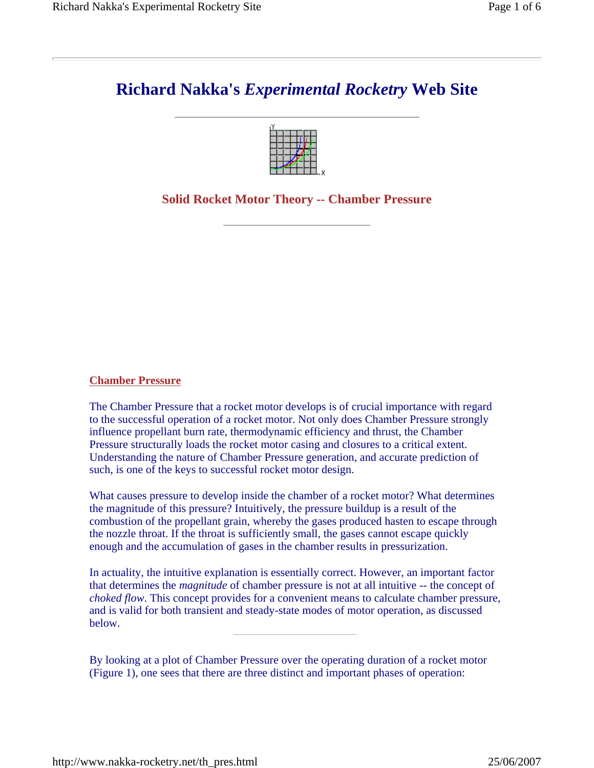

### **Solid Rocket Motor Theory -- Chamber Pressure**

#### **Chamber Pressure**

The Chamber Pressure that a rocket motor develops is of crucial importance with regard to the successful operation of a rocket motor. Not only does Chamber Pressure strongly influence propellant burn rate, thermodynamic efficiency and thrust, the Chamber Pressure structurally loads the rocket motor casing and closures to a critical extent. Understanding the nature of Chamber Pressure generation, and accurate prediction of such, is one of the keys to successful rocket motor design.

What causes pressure to develop inside the chamber of a rocket motor? What determines the magnitude of this pressure? Intuitively, the pressure buildup is a result of the combustion of the propellant grain, whereby the gases produced hasten to escape through the nozzle throat. If the throat is sufficiently small, the gases cannot escape quickly enough and the accumulation of gases in the chamber results in pressurization.

In actuality, the intuitive explanation is essentially correct. However, an important factor that determines the *magnitude* of chamber pressure is not at all intuitive -- the concept of *choked flow*. This concept provides for a convenient means to calculate chamber pressure, and is valid for both transient and steady-state modes of motor operation, as discussed below.

By looking at a plot of Chamber Pressure over the operating duration of a rocket motor (Figure 1), one sees that there are three distinct and important phases of operation: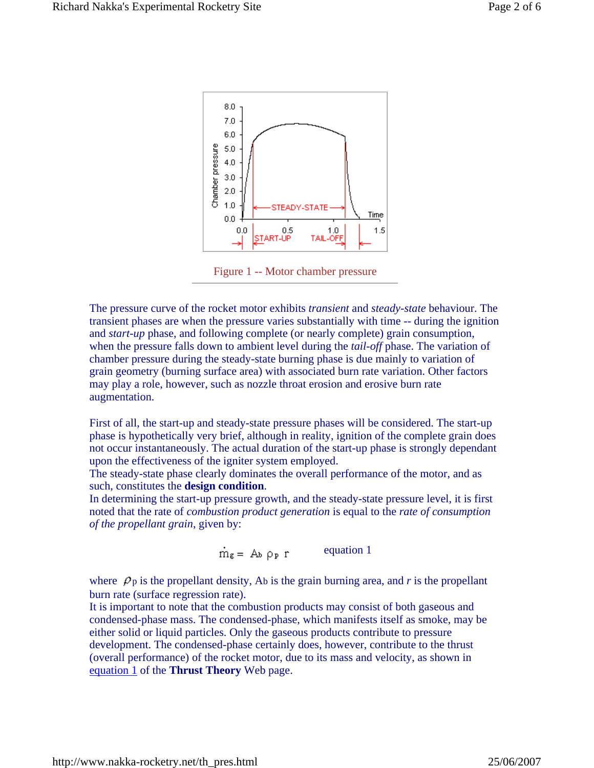

Figure 1 -- Motor chamber pressure

The pressure curve of the rocket motor exhibits *transient* and *steady-state* behaviour. The transient phases are when the pressure varies substantially with time -- during the ignition and *start-up* phase, and following complete (or nearly complete) grain consumption, when the pressure falls down to ambient level during the *tail-off* phase. The variation of chamber pressure during the steady-state burning phase is due mainly to variation of grain geometry (burning surface area) with associated burn rate variation. Other factors may play a role, however, such as nozzle throat erosion and erosive burn rate augmentation.

First of all, the start-up and steady-state pressure phases will be considered. The start-up phase is hypothetically very brief, although in reality, ignition of the complete grain does not occur instantaneously. The actual duration of the start-up phase is strongly dependant upon the effectiveness of the igniter system employed.

The steady-state phase clearly dominates the overall performance of the motor, and as such, constitutes the **design condition**.

In determining the start-up pressure growth, and the steady-state pressure level, it is first noted that the rate of *combustion product generation* is equal to the *rate of consumption of the propellant grain*, given by:

$$
m_{g} = A_{b} \rho_{p} r \qquad \text{equation 1}
$$

where  $\rho_p$  is the propellant density, Ab is the grain burning area, and  $r$  is the propellant burn rate (surface regression rate).

It is important to note that the combustion products may consist of both gaseous and condensed-phase mass. The condensed-phase, which manifests itself as smoke, may be either solid or liquid particles. Only the gaseous products contribute to pressure development. The condensed-phase certainly does, however, contribute to the thrust (overall performance) of the rocket motor, due to its mass and velocity, as shown in equation 1 of the **Thrust Theory** Web page.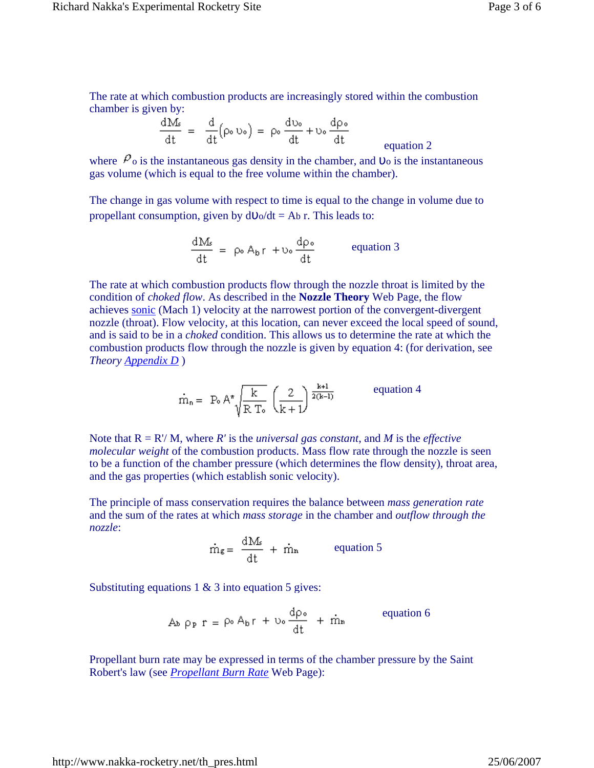The rate at which combustion products are increasingly stored within the combustion chamber is given by:

$$
\frac{dM_s}{dt} = \frac{d}{dt} (\rho_0 v_0) = \rho_0 \frac{dv_0}{dt} + v_0 \frac{d\rho_0}{dt}
$$
equation 2

where  $\rho$ <sub>o</sub> is the instantaneous gas density in the chamber, and  $\nu$ <sub>o</sub> is the instantaneous gas volume (which is equal to the free volume within the chamber).

The change in gas volume with respect to time is equal to the change in volume due to propellant consumption, given by  $d\upsilon_0/dt = Ab r$ . This leads to:

$$
\frac{dM_s}{dt} = \rho_0 A_b r + v_0 \frac{d\rho_0}{dt}
$$
 equation 3

The rate at which combustion products flow through the nozzle throat is limited by the condition of *choked flow*. As described in the **Nozzle Theory** Web Page, the flow achieves sonic (Mach 1) velocity at the narrowest portion of the convergent-divergent nozzle (throat). Flow velocity, at this location, can never exceed the local speed of sound, and is said to be in a *choked* condition. This allows us to determine the rate at which the combustion products flow through the nozzle is given by equation 4: (for derivation, see *Theory Appendix D* )

$$
\dot{m}_n = \ P_o \ A^* \sqrt{\frac{k}{R \ T_o}} \ \bigg( \frac{2}{k+1} \bigg)^\frac{k+1}{2(k-1)} \hspace{1cm} \text{equation 4}
$$

Note that  $R = R'/M$ , where R' is the *universal gas constant*, and M is the *effective molecular weight* of the combustion products. Mass flow rate through the nozzle is seen to be a function of the chamber pressure (which determines the flow density), throat area, and the gas properties (which establish sonic velocity).

The principle of mass conservation requires the balance between *mass generation rate* and the sum of the rates at which *mass storage* in the chamber and *outflow through the nozzle*:

$$
\dot{m}_{\varepsilon} = \frac{dM_{\varepsilon}}{dt} + \dot{m}_{n} \qquad \text{equation 5}
$$

Substituting equations 1 & 3 into equation 5 gives:

$$
A_{b} \rho_{P} r = \rho_{o} A_{b} r + v_{o} \frac{d\rho_{o}}{dt} + \dot{m}_{n}
$$
 equation 6

Propellant burn rate may be expressed in terms of the chamber pressure by the Saint Robert's law (see *Propellant Burn Rate* Web Page):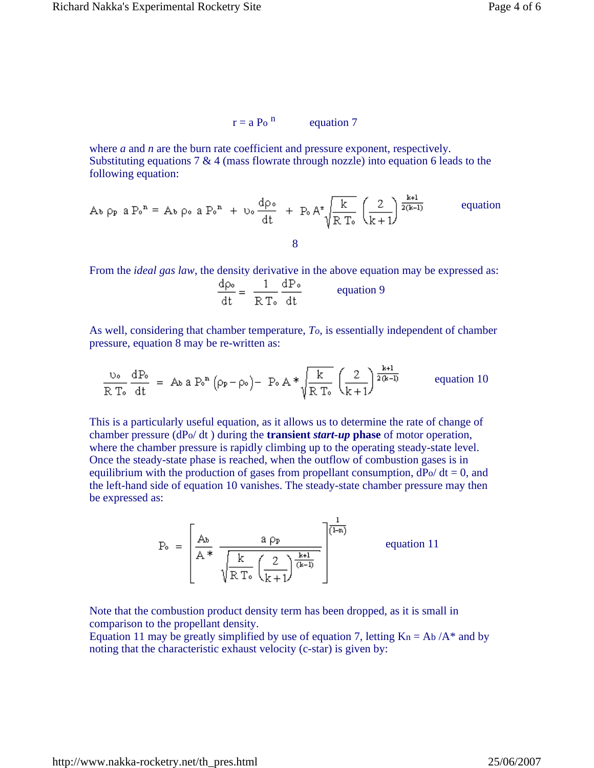$$
r = a Pon
$$
 equation 7

where *a* and *n* are the burn rate coefficient and pressure exponent, respectively. Substituting equations 7 & 4 (mass flowrate through nozzle) into equation 6 leads to the following equation:

$$
A_{b} \rho_{P} a P_{o}^{n} = A_{b} \rho_{o} a P_{o}^{n} + v_{o} \frac{d \rho_{o}}{dt} + P_{o} A^{*} \sqrt{\frac{k}{R T_{o}}} \left(\frac{2}{k+1}\right)^{\frac{k+1}{2(k-1)}} \qquad \text{equation}
$$

From the *ideal gas law*, the density derivative in the above equation may be expressed as:

 $\frac{d\rho_o}{dt} = \frac{1}{R T_o} \frac{dP_o}{dt}$  equation 9

As well, considering that chamber temperature, *To*, is essentially independent of chamber pressure, equation 8 may be re-written as:

$$
\frac{\nu_{o}}{R T_{o}} \frac{dP_{o}}{dt} = A_{b} a P_{o}^{n} (\rho_{p} - \rho_{o}) - P_{o} A * \sqrt{\frac{k}{R T_{o}}} \left(\frac{2}{k+1}\right)^{\frac{k+1}{2(k-1)}} \quad \text{equation 10}
$$

This is a particularly useful equation, as it allows us to determine the rate of change of chamber pressure (dPo/ dt ) during the **transient** *start-up* **phase** of motor operation, where the chamber pressure is rapidly climbing up to the operating steady-state level. Once the steady-state phase is reached, when the outflow of combustion gases is in equilibrium with the production of gases from propellant consumption,  $dP_0/dt = 0$ , and the left-hand side of equation 10 vanishes. The steady-state chamber pressure may then be expressed as:

$$
P_o = \left[\frac{A_b}{A^*} \frac{a \rho_P}{\sqrt{\frac{k}{R T_o} \left(\frac{2}{k+1}\right)^{\frac{k+1}{(k-1)}}}}\right]^{1/1}
$$
 equation 11

Note that the combustion product density term has been dropped, as it is small in comparison to the propellant density.

Equation 11 may be greatly simplified by use of equation 7, letting  $Kn = Ab/A^*$  and by noting that the characteristic exhaust velocity (c-star) is given by: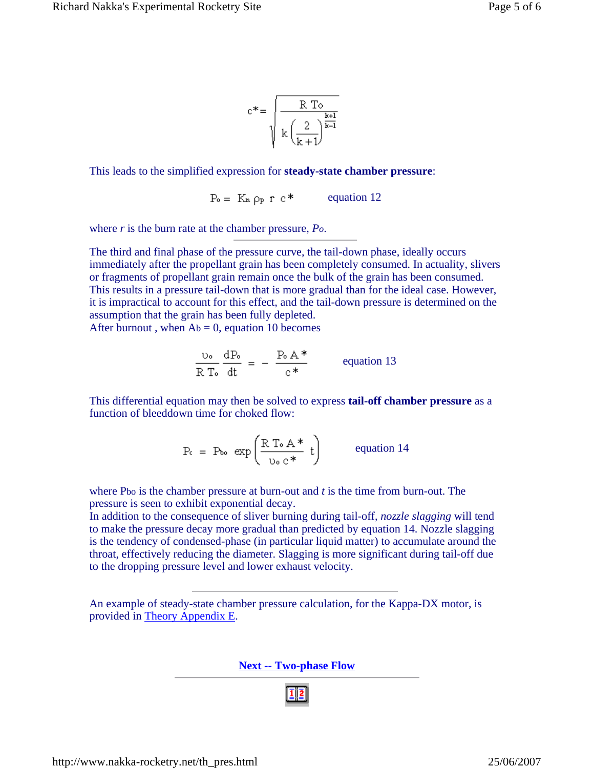$$
c^* = \sqrt{\frac{R\ T\circ}{k\left(\frac{2}{k+1}\right)^{\frac{k+1}{k-1}}}}
$$

This leads to the simplified expression for **steady-state chamber pressure**:

$$
P_o = K_n \rho_p r c^* \qquad \text{equation 12}
$$

where *r* is the burn rate at the chamber pressure, *Po*.

The third and final phase of the pressure curve, the tail-down phase, ideally occurs immediately after the propellant grain has been completely consumed. In actuality, slivers or fragments of propellant grain remain once the bulk of the grain has been consumed. This results in a pressure tail-down that is more gradual than for the ideal case. However, it is impractical to account for this effect, and the tail-down pressure is determined on the assumption that the grain has been fully depleted.

After burnout, when  $Ab = 0$ , equation 10 becomes

$$
\frac{\nu_0}{R T_0} \frac{dP_0}{dt} = - \frac{P_0 A^*}{c^*}
$$
 equation 13

This differential equation may then be solved to express **tail-off chamber pressure** as a function of bleeddown time for choked flow:

$$
P_c = P_{bo} \exp\left(\frac{R T_o A^*}{v_o c^*} t\right) \qquad \text{equation 14}
$$

where Pbo is the chamber pressure at burn-out and *t* is the time from burn-out. The pressure is seen to exhibit exponential decay.

In addition to the consequence of sliver burning during tail-off, *nozzle slagging* will tend to make the pressure decay more gradual than predicted by equation 14. Nozzle slagging is the tendency of condensed-phase (in particular liquid matter) to accumulate around the throat, effectively reducing the diameter. Slagging is more significant during tail-off due to the dropping pressure level and lower exhaust velocity.

An example of steady-state chamber pressure calculation, for the Kappa-DX motor, is provided in Theory Appendix E.

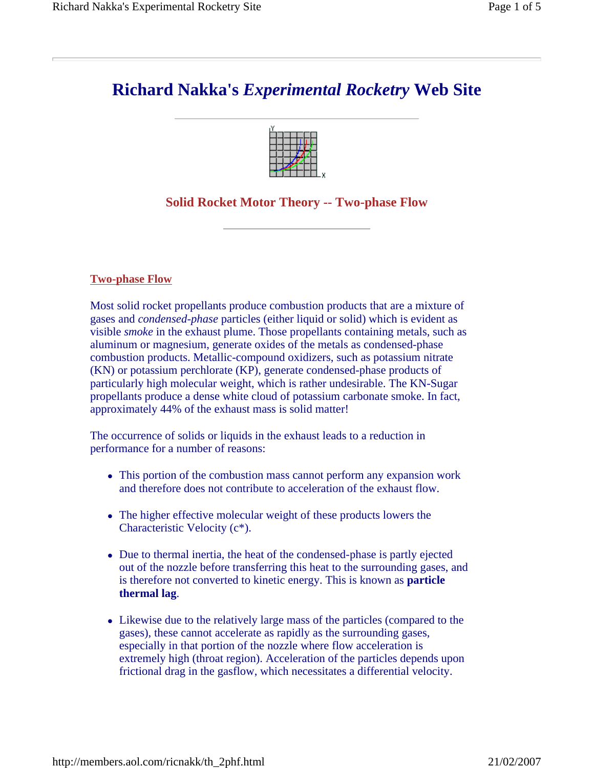

### **Solid Rocket Motor Theory -- Two-phase Flow**

#### **Two-phase Flow**

Most solid rocket propellants produce combustion products that are a mixture of gases and *condensed-phase* particles (either liquid or solid) which is evident as visible *smoke* in the exhaust plume. Those propellants containing metals, such as aluminum or magnesium, generate oxides of the metals as condensed-phase combustion products. Metallic-compound oxidizers, such as potassium nitrate (KN) or potassium perchlorate (KP), generate condensed-phase products of particularly high molecular weight, which is rather undesirable. The KN-Sugar propellants produce a dense white cloud of potassium carbonate smoke. In fact, approximately 44% of the exhaust mass is solid matter!

The occurrence of solids or liquids in the exhaust leads to a reduction in performance for a number of reasons:

- This portion of the combustion mass cannot perform any expansion work and therefore does not contribute to acceleration of the exhaust flow.
- The higher effective molecular weight of these products lowers the Characteristic Velocity (c\*).
- Due to thermal inertia, the heat of the condensed-phase is partly ejected out of the nozzle before transferring this heat to the surrounding gases, and is therefore not converted to kinetic energy. This is known as **particle thermal lag**.
- Likewise due to the relatively large mass of the particles (compared to the gases), these cannot accelerate as rapidly as the surrounding gases, especially in that portion of the nozzle where flow acceleration is extremely high (throat region). Acceleration of the particles depends upon frictional drag in the gasflow, which necessitates a differential velocity.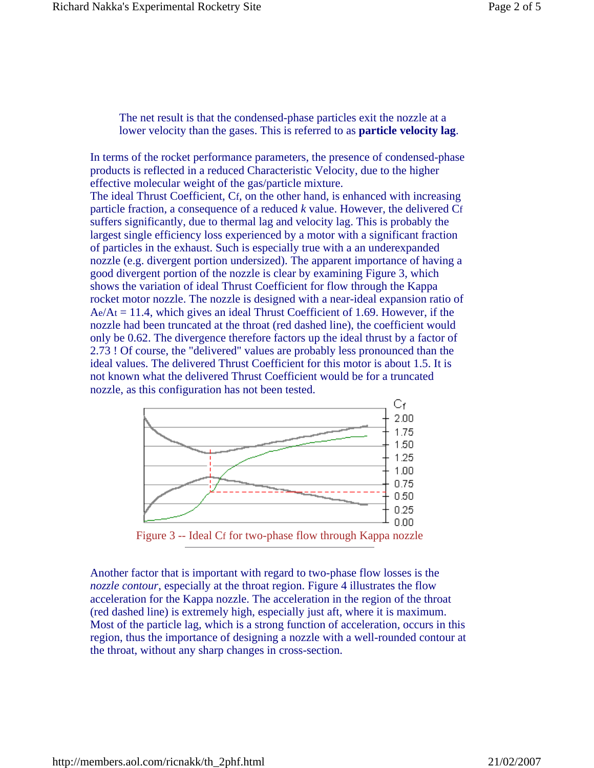The net result is that the condensed-phase particles exit the nozzle at a lower velocity than the gases. This is referred to as **particle velocity lag**.

In terms of the rocket performance parameters, the presence of condensed-phase products is reflected in a reduced Characteristic Velocity, due to the higher effective molecular weight of the gas/particle mixture.

The ideal Thrust Coefficient, Cf, on the other hand, is enhanced with increasing particle fraction, a consequence of a reduced *k* value. However, the delivered Cf suffers significantly, due to thermal lag and velocity lag. This is probably the largest single efficiency loss experienced by a motor with a significant fraction of particles in the exhaust. Such is especially true with a an underexpanded nozzle (e.g. divergent portion undersized). The apparent importance of having a good divergent portion of the nozzle is clear by examining Figure 3, which shows the variation of ideal Thrust Coefficient for flow through the Kappa rocket motor nozzle. The nozzle is designed with a near-ideal expansion ratio of  $Ae/At = 11.4$ , which gives an ideal Thrust Coefficient of 1.69. However, if the nozzle had been truncated at the throat (red dashed line), the coefficient would only be 0.62. The divergence therefore factors up the ideal thrust by a factor of 2.73 ! Of course, the "delivered" values are probably less pronounced than the ideal values. The delivered Thrust Coefficient for this motor is about 1.5. It is not known what the delivered Thrust Coefficient would be for a truncated nozzle, as this configuration has not been tested.



Figure 3 -- Ideal Cf for two-phase flow through Kappa nozzle

Another factor that is important with regard to two-phase flow losses is the *nozzle contour*, especially at the throat region. Figure 4 illustrates the flow acceleration for the Kappa nozzle. The acceleration in the region of the throat (red dashed line) is extremely high, especially just aft, where it is maximum. Most of the particle lag, which is a strong function of acceleration, occurs in this region, thus the importance of designing a nozzle with a well-rounded contour at the throat, without any sharp changes in cross-section.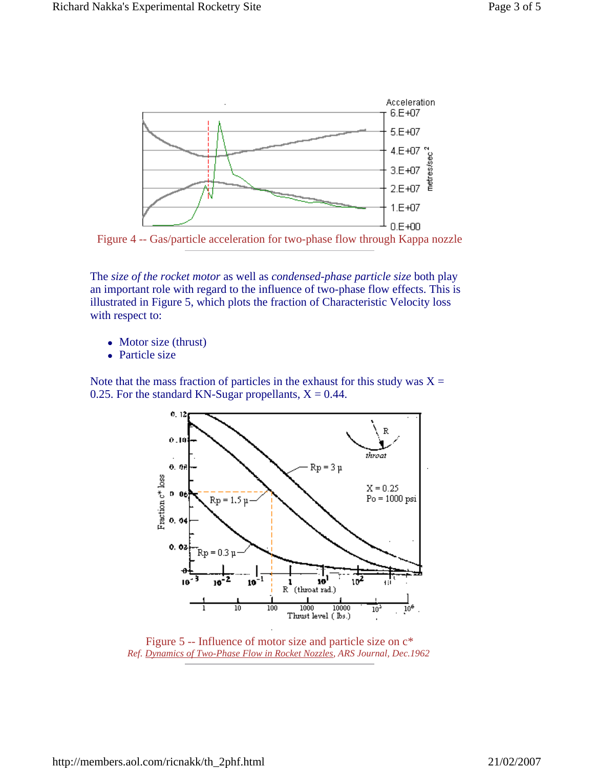

Figure 4 -- Gas/particle acceleration for two-phase flow through Kappa nozzle

The *size of the rocket motor* as well as *condensed-phase particle size* both play an important role with regard to the influence of two-phase flow effects. This is illustrated in Figure 5, which plots the fraction of Characteristic Velocity loss with respect to:

- Motor size (thrust)
- Particle size

Note that the mass fraction of particles in the exhaust for this study was  $X =$ 0.25. For the standard KN-Sugar propellants,  $X = 0.44$ .



Figure 5 -- Influence of motor size and particle size on  $c^*$ *Ref. Dynamics of Two-Phase Flow in Rocket Nozzles, ARS Journal, Dec.1962*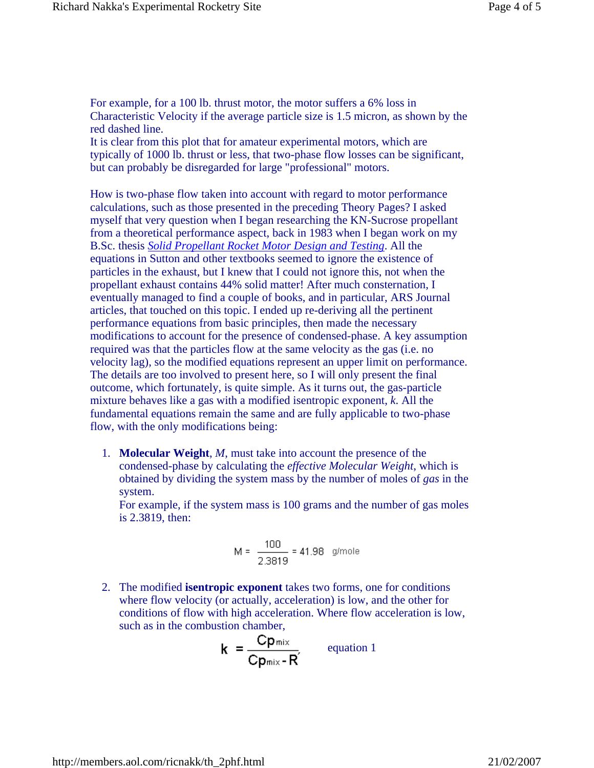For example, for a 100 lb. thrust motor, the motor suffers a 6% loss in Characteristic Velocity if the average particle size is 1.5 micron, as shown by the red dashed line.

It is clear from this plot that for amateur experimental motors, which are typically of 1000 lb. thrust or less, that two-phase flow losses can be significant, but can probably be disregarded for large "professional" motors.

How is two-phase flow taken into account with regard to motor performance calculations, such as those presented in the preceding Theory Pages? I asked myself that very question when I began researching the KN-Sucrose propellant from a theoretical performance aspect, back in 1983 when I began work on my B.Sc. thesis *Solid Propellant Rocket Motor Design and Testing*. All the equations in Sutton and other textbooks seemed to ignore the existence of particles in the exhaust, but I knew that I could not ignore this, not when the propellant exhaust contains 44% solid matter! After much consternation, I eventually managed to find a couple of books, and in particular, ARS Journal articles, that touched on this topic. I ended up re-deriving all the pertinent performance equations from basic principles, then made the necessary modifications to account for the presence of condensed-phase. A key assumption required was that the particles flow at the same velocity as the gas (i.e. no velocity lag), so the modified equations represent an upper limit on performance. The details are too involved to present here, so I will only present the final outcome, which fortunately, is quite simple. As it turns out, the gas-particle mixture behaves like a gas with a modified isentropic exponent, *k*. All the fundamental equations remain the same and are fully applicable to two-phase flow, with the only modifications being:

1. **Molecular Weight**, *M*, must take into account the presence of the condensed-phase by calculating the *effective Molecular Weight*, which is obtained by dividing the system mass by the number of moles of *gas* in the system.

For example, if the system mass is 100 grams and the number of gas moles is 2.3819, then:

$$
M = \frac{100}{2.3819} = 41.98 \text{ g/mole}
$$

2. The modified **isentropic exponent** takes two forms, one for conditions where flow velocity (or actually, acceleration) is low, and the other for conditions of flow with high acceleration. Where flow acceleration is low, such as in the combustion chamber,

$$
\mathbf{k} = \frac{\mathbf{C}\mathbf{p}_{\text{mix}}}{\mathbf{C}\mathbf{p}_{\text{mix}} - \mathbf{R}}
$$
 equation 1

http://members.aol.com/ricnakk/th\_2phf.html 21/02/2007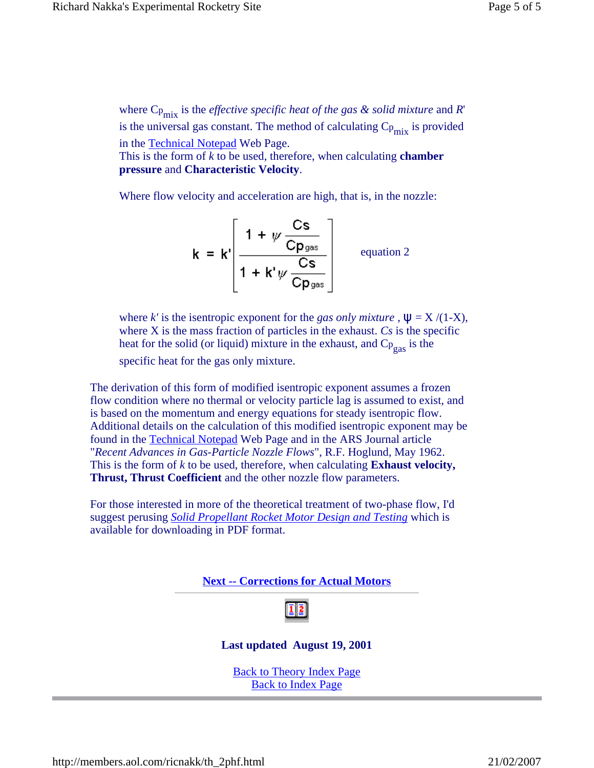where  $C_{P_{mix}}$  is the *effective specific heat of the gas & solid mixture* and  $R'$ is the universal gas constant. The method of calculating  $C_{P_{\text{mix}}}$  is provided in the Technical Notepad Web Page. This is the form of *k* to be used, therefore, when calculating **chamber pressure** and **Characteristic Velocity**.

Where flow velocity and acceleration are high, that is, in the nozzle:

$$
\mathbf{k} = \mathbf{k'} \left[ \frac{1 + \psi \frac{Cs}{Cp_{gas}}}{1 + \mathbf{k'} \psi \frac{Cs}{Cp_{gas}}} \right]
$$
equation 2

where *k'* is the isentropic exponent for the *gas only mixture* ,  $\Psi = X/(1-X)$ , where X is the mass fraction of particles in the exhaust. *Cs* is the specific heat for the solid (or liquid) mixture in the exhaust, and C<sub>Pgas</sub> is the specific heat for the gas only mixture.

The derivation of this form of modified isentropic exponent assumes a frozen flow condition where no thermal or velocity particle lag is assumed to exist, and is based on the momentum and energy equations for steady isentropic flow. Additional details on the calculation of this modified isentropic exponent may be found in the Technical Notepad Web Page and in the ARS Journal article "*Recent Advances in Gas-Particle Nozzle Flows*", R.F. Hoglund, May 1962. This is the form of *k* to be used, therefore, when calculating **Exhaust velocity, Thrust, Thrust Coefficient** and the other nozzle flow parameters.

For those interested in more of the theoretical treatment of two-phase flow, I'd suggest perusing *Solid Propellant Rocket Motor Design and Testing* which is available for downloading in PDF format.

**Next -- Corrections for Actual Motors**



#### **Last updated August 19, 2001**

Back to Theory Index Page Back to Index Page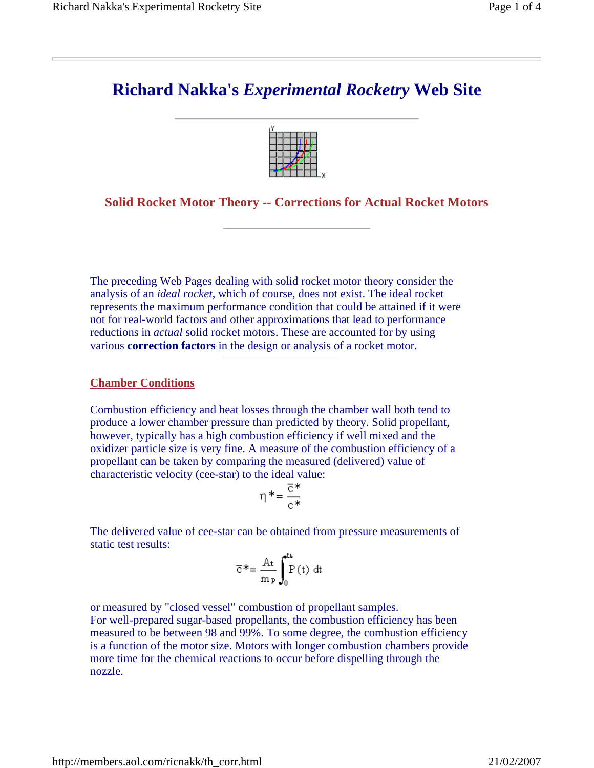

### **Solid Rocket Motor Theory -- Corrections for Actual Rocket Motors**

The preceding Web Pages dealing with solid rocket motor theory consider the analysis of an *ideal rocket*, which of course, does not exist. The ideal rocket represents the maximum performance condition that could be attained if it were not for real-world factors and other approximations that lead to performance reductions in *actual* solid rocket motors. These are accounted for by using various **correction factors** in the design or analysis of a rocket motor.

#### **Chamber Conditions**

Combustion efficiency and heat losses through the chamber wall both tend to produce a lower chamber pressure than predicted by theory. Solid propellant, however, typically has a high combustion efficiency if well mixed and the oxidizer particle size is very fine. A measure of the combustion efficiency of a propellant can be taken by comparing the measured (delivered) value of characteristic velocity (cee-star) to the ideal value:

$$
\eta^* = \frac{\overline{c}^*}{c^*}
$$

The delivered value of cee-star can be obtained from pressure measurements of static test results:

$$
\overline{c}^* = \frac{A_t}{m_P} \int_0^{t_b} P(t) dt
$$

or measured by "closed vessel" combustion of propellant samples. For well-prepared sugar-based propellants, the combustion efficiency has been measured to be between 98 and 99%. To some degree, the combustion efficiency is a function of the motor size. Motors with longer combustion chambers provide more time for the chemical reactions to occur before dispelling through the nozzle.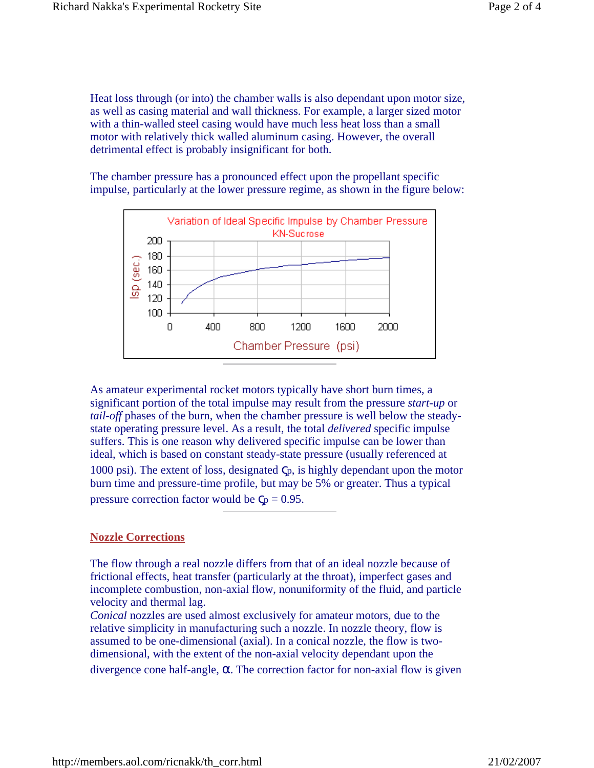Heat loss through (or into) the chamber walls is also dependant upon motor size, as well as casing material and wall thickness. For example, a larger sized motor with a thin-walled steel casing would have much less heat loss than a small motor with relatively thick walled aluminum casing. However, the overall detrimental effect is probably insignificant for both.

The chamber pressure has a pronounced effect upon the propellant specific impulse, particularly at the lower pressure regime, as shown in the figure below:



As amateur experimental rocket motors typically have short burn times, a significant portion of the total impulse may result from the pressure *start-up* or *tail-off* phases of the burn, when the chamber pressure is well below the steadystate operating pressure level. As a result, the total *delivered* specific impulse suffers. This is one reason why delivered specific impulse can be lower than ideal, which is based on constant steady-state pressure (usually referenced at 1000 psi). The extent of loss, designated  $\zeta_p$ , is highly dependant upon the motor burn time and pressure-time profile, but may be 5% or greater. Thus a typical pressure correction factor would be  $\zeta_p = 0.95$ .

#### **Nozzle Corrections**

The flow through a real nozzle differs from that of an ideal nozzle because of frictional effects, heat transfer (particularly at the throat), imperfect gases and incomplete combustion, non-axial flow, nonuniformity of the fluid, and particle velocity and thermal lag.

*Conical* nozzles are used almost exclusively for amateur motors, due to the relative simplicity in manufacturing such a nozzle. In nozzle theory, flow is assumed to be one-dimensional (axial). In a conical nozzle, the flow is twodimensional, with the extent of the non-axial velocity dependant upon the divergence cone half-angle,  $\alpha$ . The correction factor for non-axial flow is given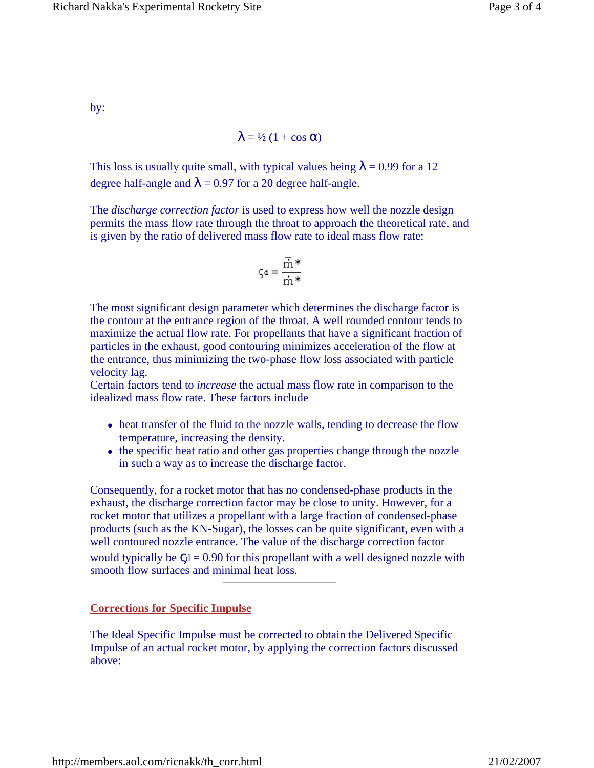by:

$$
\lambda = \frac{1}{2} (1 + \cos \alpha)
$$

This loss is usually quite small, with typical values being  $\lambda = 0.99$  for a 12 degree half-angle and  $\lambda = 0.97$  for a 20 degree half-angle.

The *discharge correction factor* is used to express how well the nozzle design permits the mass flow rate through the throat to approach the theoretical rate, and is given by the ratio of delivered mass flow rate to ideal mass flow rate:

$$
\varsigma_{d}=\frac{\overline{\hat{m}}\text{*}}{\hat{m} \text{*}}
$$

The most significant design parameter which determines the discharge factor is the contour at the entrance region of the throat. A well rounded contour tends to maximize the actual flow rate. For propellants that have a significant fraction of particles in the exhaust, good contouring minimizes acceleration of the flow at the entrance, thus minimizing the two-phase flow loss associated with particle velocity lag.

Certain factors tend to *increase* the actual mass flow rate in comparison to the idealized mass flow rate. These factors include

- heat transfer of the fluid to the nozzle walls, tending to decrease the flow temperature, increasing the density.
- the specific heat ratio and other gas properties change through the nozzle in such a way as to increase the discharge factor.

Consequently, for a rocket motor that has no condensed-phase products in the exhaust, the discharge correction factor may be close to unity. However, for a rocket motor that utilizes a propellant with a large fraction of condensed-phase products (such as the KN-Sugar), the losses can be quite significant, even with a well contoured nozzle entrance. The value of the discharge correction factor would typically be  $\zeta_d = 0.90$  for this propellant with a well designed nozzle with smooth flow surfaces and minimal heat loss.

#### **Corrections for Specific Impulse**

The Ideal Specific Impulse must be corrected to obtain the Delivered Specific Impulse of an actual rocket motor, by applying the correction factors discussed above: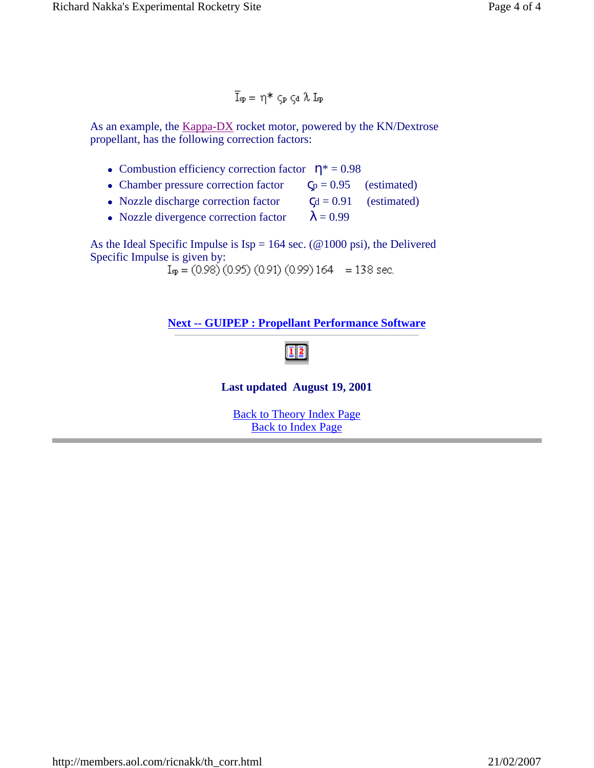$$
\overline{I}_\text{sp} = \eta^* \, \varsigma_\text{P} \, \varsigma_\text{d} \, \lambda \, I_\text{sp}
$$

As an example, the Kappa-DX rocket motor, powered by the KN/Dextrose propellant, has the following correction factors:

- Combustion efficiency correction factor  $\eta$ <sup>\*</sup> = 0.98
- Chamber pressure correction factor  $\varsigma_p = 0.95$  (estimated)
- Nozzle discharge correction factor  $\zeta d = 0.91$  (estimated)
- Nozzle divergence correction factor  $\lambda = 0.99$

As the Ideal Specific Impulse is  $Isp = 164$  sec. ( $@1000$  psi), the Delivered Specific Impulse is given by:<br> $I_{\mathcal{P}} = (0.98) (0.95) (0.91) (0.99) 164 = 138$  sec.

#### **Next -- GUIPEP : Propellant Performance Software**

#### **Last updated August 19, 2001**

Back to Theory Index Page Back to Index Page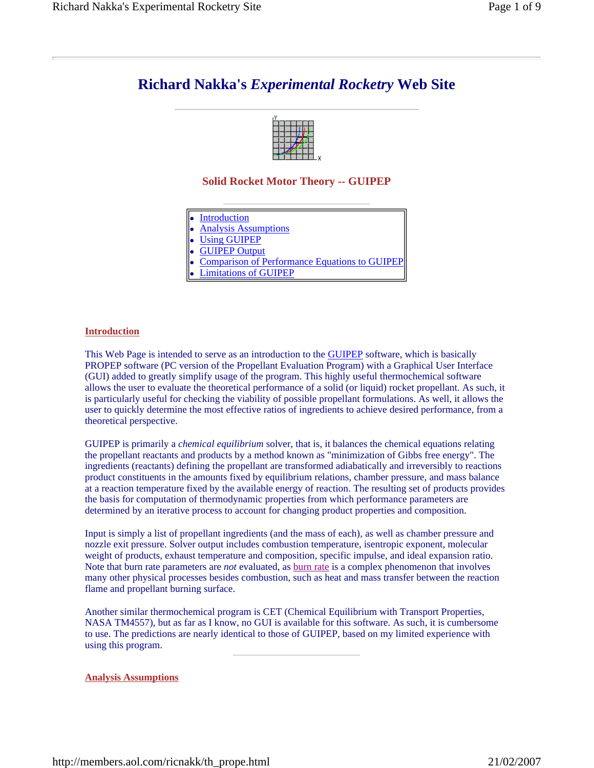

#### **Solid Rocket Motor Theory -- GUIPEP**

| • Introduction         |
|------------------------|
| • Analysis Assumptions |
| • Using GUIPEP         |
|                        |

- **GUIPEP Output**
- Comparison of Performance Equations to GUIPEP
- Limitations of GUIPEP

#### **Introduction**

This Web Page is intended to serve as an introduction to the **GUIPEP** software, which is basically PROPEP software (PC version of the Propellant Evaluation Program) with a Graphical User Interface (GUI) added to greatly simplify usage of the program. This highly useful thermochemical software allows the user to evaluate the theoretical performance of a solid (or liquid) rocket propellant. As such, it is particularly useful for checking the viability of possible propellant formulations. As well, it allows the user to quickly determine the most effective ratios of ingredients to achieve desired performance, from a theoretical perspective.

GUIPEP is primarily a *chemical equilibrium* solver, that is, it balances the chemical equations relating the propellant reactants and products by a method known as "minimization of Gibbs free energy". The ingredients (reactants) defining the propellant are transformed adiabatically and irreversibly to reactions product constituents in the amounts fixed by equilibrium relations, chamber pressure, and mass balance at a reaction temperature fixed by the available energy of reaction. The resulting set of products provides the basis for computation of thermodynamic properties from which performance parameters are determined by an iterative process to account for changing product properties and composition.

Input is simply a list of propellant ingredients (and the mass of each), as well as chamber pressure and nozzle exit pressure. Solver output includes combustion temperature, isentropic exponent, molecular weight of products, exhaust temperature and composition, specific impulse, and ideal expansion ratio. Note that burn rate parameters are *not* evaluated, as burn rate is a complex phenomenon that involves many other physical processes besides combustion, such as heat and mass transfer between the reaction flame and propellant burning surface.

Another similar thermochemical program is CET (Chemical Equilibrium with Transport Properties, NASA TM4557), but as far as I know, no GUI is available for this software. As such, it is cumbersome to use. The predictions are nearly identical to those of GUIPEP, based on my limited experience with using this program.

#### **Analysis Assumptions**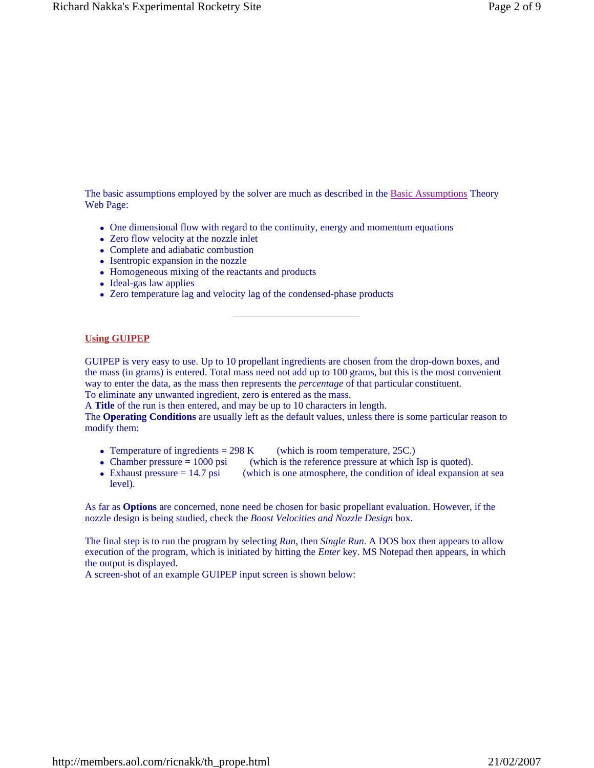The basic assumptions employed by the solver are much as described in the Basic Assumptions Theory Web Page:

- One dimensional flow with regard to the continuity, energy and momentum equations
- Zero flow velocity at the nozzle inlet
- Complete and adiabatic combustion
- Isentropic expansion in the nozzle
- Homogeneous mixing of the reactants and products
- Ideal-gas law applies
- Zero temperature lag and velocity lag of the condensed-phase products

#### **Using GUIPEP**

GUIPEP is very easy to use. Up to 10 propellant ingredients are chosen from the drop-down boxes, and the mass (in grams) is entered. Total mass need not add up to 100 grams, but this is the most convenient way to enter the data, as the mass then represents the *percentage* of that particular constituent. To eliminate any unwanted ingredient, zero is entered as the mass.

A **Title** of the run is then entered, and may be up to 10 characters in length.

The **Operating Conditions** are usually left as the default values, unless there is some particular reason to modify them:

- Temperature of ingredients  $= 298 \text{ K}$  (which is room temperature, 25C.)
- Chamber pressure = 1000 psi (which is the reference pressure at which Isp is quoted).
- Exhaust pressure  $= 14.7$  psi (which is one atmosphere, the condition of ideal expansion at sea level).

As far as **Options** are concerned, none need be chosen for basic propellant evaluation. However, if the nozzle design is being studied, check the *Boost Velocities and Nozzle Design* box.

The final step is to run the program by selecting *Run*, then *Single Run*. A DOS box then appears to allow execution of the program, which is initiated by hitting the *Enter* key. MS Notepad then appears, in which the output is displayed.

A screen-shot of an example GUIPEP input screen is shown below: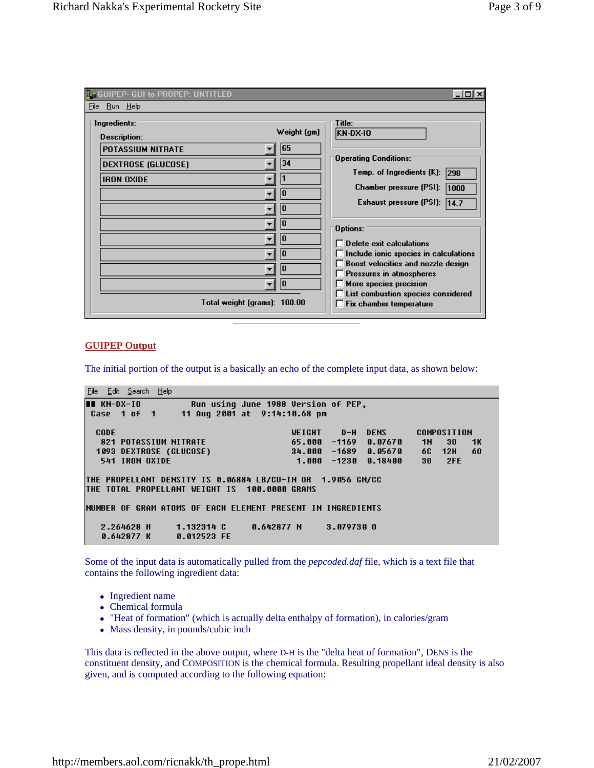| <b>GUIPEP- GUI to PROPEP: UNTITLED</b><br>File<br>Run Help                                                                                                                                                                                                                                         |                                                                                                                                                                                                                                                                                                                                                                                                                          |
|----------------------------------------------------------------------------------------------------------------------------------------------------------------------------------------------------------------------------------------------------------------------------------------------------|--------------------------------------------------------------------------------------------------------------------------------------------------------------------------------------------------------------------------------------------------------------------------------------------------------------------------------------------------------------------------------------------------------------------------|
| Ingredients:<br>Weight (gm)<br>Description:<br>65<br><b>POTASSIUM NITRATE</b><br>34<br><b>DEXTROSE (GLUCOSE)</b><br><b>IRON OXIDE</b><br>$\overline{\phantom{a}}$<br>In<br>١o<br>١O<br>$\overline{\phantom{a}}$<br>n<br>10<br>١o<br>10<br>$\overline{\phantom{a}}$<br>Total weight (grams): 100.00 | Title:<br>KN-DX-IO<br><b>Operating Conditions:</b><br>Temp. of Ingredients (K):<br> 298 <br>Chamber pressure (PSI):<br>1000<br>Exhaust pressure (PSI):  14.7<br>Options:<br>$\Box$ Delete exit calculations<br>Include ionic species in calculations<br><b>Boost velocities and nozzle design</b><br>Pressures in atmospheres<br>More species precision<br>List combustion species considered<br>Fix chamber temperature |

#### **GUIPEP Output**

The initial portion of the output is a basically an echo of the complete input data, as shown below:

File Edit Search Help  $H$  KN-DX-IO Run using June 1988 Version of PEP, 11 Aug 2001 at 9:14:10.68 pm Case 1 of 1 **CODE** WEIGHT  $D-H$ **DENS** COMPOSITION  $1N$ **821 POTASSIUM NITRATE** 0.07670 - 30 65.000  $-1169$ **1K**  $12H$ 1093 DEXTROSE (GLUCOSE) 34.000  $-1689$ 0.05670 60 60 541 IRON OXIDE 1.000  $-1230$ 0.18400 30 2FE THE PROPELLANT DENSITY IS 0.06884 LB/CU-IN OR 1.9056 GM/CC THE TOTAL PROPELLANT WEIGHT IS 100.0000 GRAMS NUMBER OF GRAM ATOMS OF EACH ELEMENT PRESENT IN INGREDIENTS 2.264628 H 1.132314 0 0.642877 N 3.079730 0 0.012523 FE 0.642877 K

Some of the input data is automatically pulled from the *pepcoded.daf* file, which is a text file that contains the following ingredient data:

- Ingredient name
- Chemical formula
- "Heat of formation" (which is actually delta enthalpy of formation), in calories/gram
- Mass density, in pounds/cubic inch

This data is reflected in the above output, where D-H is the "delta heat of formation", DENS is the constituent density, and COMPOSITION is the chemical formula. Resulting propellant ideal density is also given, and is computed according to the following equation: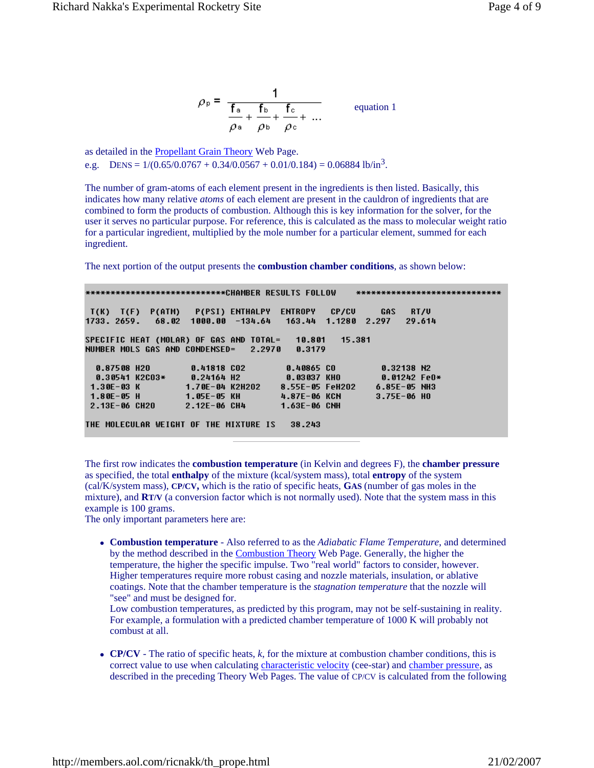$$
\rho_{\rm p} = \frac{1}{\frac{f_{\rm a}}{\rho_{\rm a} + \frac{f_{\rm b}}{\rho_{\rm b} + \frac{f_{\rm c}}{\rho_{\rm c}} + \dots}}}
$$
 equation 1

as detailed in the **Propellant Grain Theory** Web Page. e.g. DENS =  $1/(0.65/0.0767 + 0.34/0.0567 + 0.01/0.184) = 0.06884 \text{ lb/in}^3$ .

The number of gram-atoms of each element present in the ingredients is then listed. Basically, this indicates how many relative *atoms* of each element are present in the cauldron of ingredients that are combined to form the products of combustion. Although this is key information for the solver, for the user it serves no particular purpose. For reference, this is calculated as the mass to molecular weight ratio for a particular ingredient, multiplied by the mole number for a particular element, summed for each ingredient.

The next portion of the output presents the **combustion chamber conditions**, as shown below:

\*\*\*\*\*\*\*\*\*\*\*\*\*\*\*\*\*\*\*\*\*\*\*\*\*\*\*\*CHAMBER RESULTS FOLLOW \*\*\*\*\*\*\*\*\*\*\*\*\*\*\*\*\*\*\*\*\*\*\*\*\*\*\*\*\*  $T(K)$   $T(F)$ P(ATM) **P(PSI) ENTHALPY ENTROPY** CP/CU **GAS** RT/U 1733. 2659.  $68.02$  1000.00 -134.64 163.44 1.1280 2.297 29.614 SPECIFIC HEAT (MOLAR) OF GAS AND TOTAL= 10.801 15.381 NUMBER MOLS GAS AND CONDENSED= 2.2970 8.3179 0.87508 H20 0.41818 CO2 0.40865 CO 0.32138 N2 0.30541 K2C03\* 0.24164 H2 0.03037 KHO 0.01242 Fe0\* 8.55E-05 FeH202  $1.30E-03K$ 1.70E-04 K2H2O2 6.85E-05 NH3  $1.80E - 05$  H 1.05E-05 KH 4.87E-06 KCN 3.75E-06 HO 2.13E-06 CH2O 2.12E-06 CH4 1.63E-06 CNH THE MOLECULAR WEIGHT OF THE MIXTURE IS 38.243

The first row indicates the **combustion temperature** (in Kelvin and degrees F), the **chamber pressure** as specified, the total **enthalpy** of the mixture (kcal/system mass), total **entropy** of the system (cal/K/system mass), **CP/CV,** which is the ratio of specific heats, **GAS** (number of gas moles in the mixture), and **RT/V** (a conversion factor which is not normally used). Note that the system mass in this example is 100 grams.

The only important parameters here are:

 **Combustion temperature** - Also referred to as the *Adiabatic Flame Temperature*, and determined by the method described in the Combustion Theory Web Page. Generally, the higher the temperature, the higher the specific impulse. Two "real world" factors to consider, however. Higher temperatures require more robust casing and nozzle materials, insulation, or ablative coatings. Note that the chamber temperature is the *stagnation temperature* that the nozzle will "see" and must be designed for.

Low combustion temperatures, as predicted by this program, may not be self-sustaining in reality. For example, a formulation with a predicted chamber temperature of 1000 K will probably not combust at all.

 **CP/CV** - The ratio of specific heats, *k*, for the mixture at combustion chamber conditions, this is correct value to use when calculating characteristic velocity (cee-star) and chamber pressure, as described in the preceding Theory Web Pages. The value of CP/CV is calculated from the following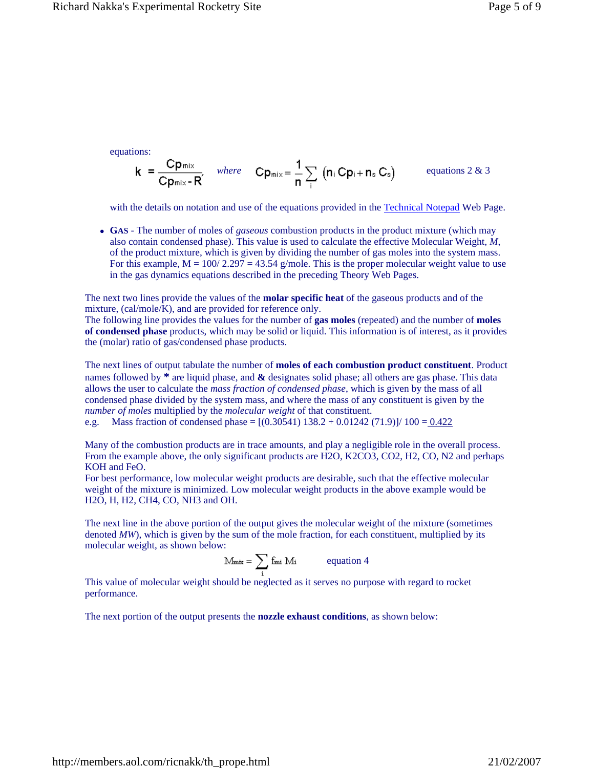equations:

$$
k = \frac{Cp_{\text{mix}}}{Cp_{\text{mix}}-R}, \quad \text{where} \quad Cp_{\text{mix}} = \frac{1}{n} \sum_{i} (n_i Cp_i + n_s C_s) \qquad \text{equations 2 & 3}
$$

with the details on notation and use of the equations provided in the Technical Notepad Web Page.

 **GAS** - The number of moles of *gaseous* combustion products in the product mixture (which may also contain condensed phase). This value is used to calculate the effective Molecular Weight, *M*, of the product mixture, which is given by dividing the number of gas moles into the system mass. For this example,  $M = 100/2.297 = 43.54$  g/mole. This is the proper molecular weight value to use in the gas dynamics equations described in the preceding Theory Web Pages.

The next two lines provide the values of the **molar specific heat** of the gaseous products and of the mixture, (cal/mole/K), and are provided for reference only.

The following line provides the values for the number of **gas moles** (repeated) and the number of **moles of condensed phase** products, which may be solid or liquid. This information is of interest, as it provides the (molar) ratio of gas/condensed phase products.

The next lines of output tabulate the number of **moles of each combustion product constituent**. Product names followed by **\*** are liquid phase, and **&** designates solid phase; all others are gas phase. This data allows the user to calculate the *mass fraction of condensed phase*, which is given by the mass of all condensed phase divided by the system mass, and where the mass of any constituent is given by the *number of moles* multiplied by the *molecular weight* of that constituent.

e.g. Mass fraction of condensed phase =  $[(0.30541) 138.2 + 0.01242 (71.9)]/100 = 0.422$ 

Many of the combustion products are in trace amounts, and play a negligible role in the overall process. From the example above, the only significant products are H2O, K2CO3, CO2, H2, CO, N2 and perhaps KOH and FeO.

For best performance, low molecular weight products are desirable, such that the effective molecular weight of the mixture is minimized. Low molecular weight products in the above example would be H2O, H, H2, CH4, CO, NH3 and OH.

The next line in the above portion of the output gives the molecular weight of the mixture (sometimes denoted *MW*), which is given by the sum of the mole fraction, for each constituent, multiplied by its molecular weight, as shown below:

$$
M_{\text{mix}} = \sum_{i} f_{\text{mi}} M_i
$$
 equation 4

This value of molecular weight should be neglected as it serves no purpose with regard to rocket performance.

The next portion of the output presents the **nozzle exhaust conditions**, as shown below: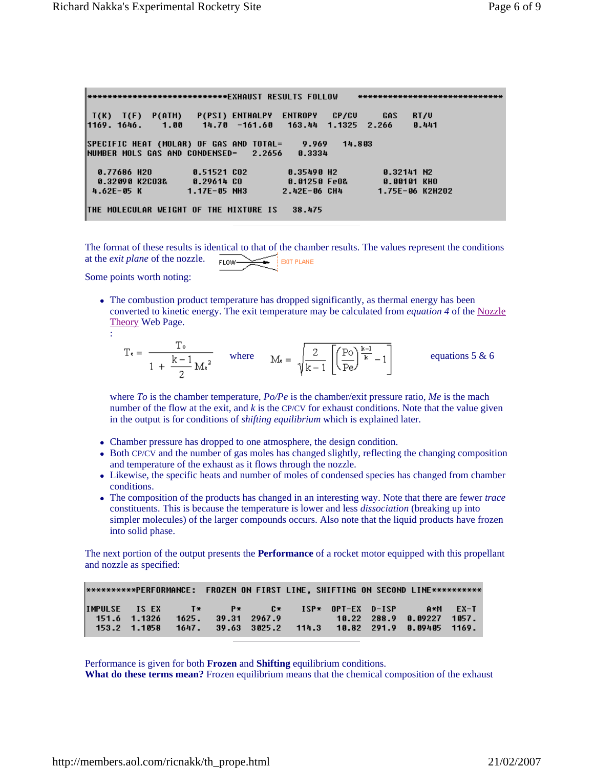```
***************************EXHAUST RESULTS FOLLOW
                                                       ******************************
                                       ENTROPY
 T(K) T(F) P(ATM)P(PSI) ENTHALPY
                                                  CP/CU
                                                            GAS
                                                                  RT/U
1169. 1646.
               1.00
                       14.78 - 161.68163.44 1.1325
                                                        2.266
                                                                  0.441SPECIFIC HEAT (MOLAR) OF GAS AND TOTAL=
                                           9.969
                                                   14.803
NUMBER MOLS GAS AND CONDENSED=
                                 2.2656
                                           0.3334
                     0.51521 002
  0.77686 H20
                                        0.35490 H2
                                                            0.32141 N2
  0.32090 K2C03&
                     0.29614 CO
                                        0.01250 Fe0&
                                                            0.00101 KHO
 4.62E-05 K
                                                           1.75E-06 K2H202
                    1.17E-05 NH3
                                       2.42E-06 CH4
THE MOLECULAR WEIGHT OF THE MIXTURE IS
                                         38.475
```
The format of these results is identical to that of the chamber results. The values represent the conditions at the *exit plane* of the nozzle. FLOW- $\equiv$   $\equiv$   $\equiv$   $\equiv$   $\equiv$   $\equiv$ 

Some points worth noting:

 The combustion product temperature has dropped significantly, as thermal energy has been converted to kinetic energy. The exit temperature may be calculated from *equation 4* of the Nozzle Theory Web Page.

:

$$
T_e = \frac{T_o}{1 + \frac{k-1}{2} M_e^2}
$$
 where 
$$
M_e = \sqrt{\frac{2}{k-1} \left[ \left( \frac{Po}{Pe} \right)^{\frac{k-1}{k}} - 1 \right]}
$$
 equations 5 & 6

where *To* is the chamber temperature, *Po/Pe* is the chamber/exit pressure ratio, *Me* is the mach number of the flow at the exit, and  $k$  is the CP/CV for exhaust conditions. Note that the value given in the output is for conditions of *shifting equilibrium* which is explained later.

- Chamber pressure has dropped to one atmosphere, the design condition.
- Both CP/CV and the number of gas moles has changed slightly, reflecting the changing composition and temperature of the exhaust as it flows through the nozzle.
- Likewise, the specific heats and number of moles of condensed species has changed from chamber conditions.
- The composition of the products has changed in an interesting way. Note that there are fewer *trace*  constituents. This is because the temperature is lower and less *dissociation* (breaking up into simpler molecules) of the larger compounds occurs. Also note that the liquid products have frozen into solid phase.

The next portion of the output presents the **Performance** of a rocket motor equipped with this propellant and nozzle as specified:

| **********PERFORMANCE: FROZEN ON FIRST LINE, SHIFTING ON SECOND LINE**********                                                                                                           |  |  |  |        |
|------------------------------------------------------------------------------------------------------------------------------------------------------------------------------------------|--|--|--|--------|
| IMPULSE IS EX T* P* C* ISP* OPT-EX D-ISP A*M<br>  151.6 1.1326 1625. 39.31 2967.9         10.22 288.9 0.09227 1057.<br>  153.2 1.1058 1647. 39.63 3025.2 114.3 10.82 291.9 0.09405 1169. |  |  |  | $FX-T$ |

Performance is given for both **Frozen** and **Shifting** equilibrium conditions. **What do these terms mean?** Frozen equilibrium means that the chemical composition of the exhaust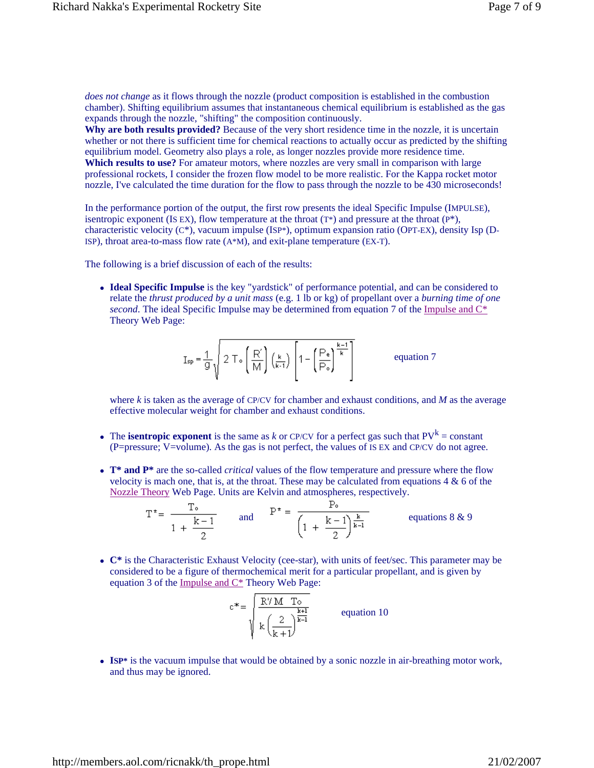*does not change* as it flows through the nozzle (product composition is established in the combustion chamber). Shifting equilibrium assumes that instantaneous chemical equilibrium is established as the gas expands through the nozzle, "shifting" the composition continuously.

**Why are both results provided?** Because of the very short residence time in the nozzle, it is uncertain whether or not there is sufficient time for chemical reactions to actually occur as predicted by the shifting equilibrium model. Geometry also plays a role, as longer nozzles provide more residence time. **Which results to use?** For amateur motors, where nozzles are very small in comparison with large professional rockets, I consider the frozen flow model to be more realistic. For the Kappa rocket motor nozzle, I've calculated the time duration for the flow to pass through the nozzle to be 430 microseconds!

In the performance portion of the output, the first row presents the ideal Specific Impulse (IMPULSE), isentropic exponent (IS EX), flow temperature at the throat  $(T^*)$  and pressure at the throat  $(P^*)$ , characteristic velocity (C\*), vacuum impulse (ISP\*), optimum expansion ratio (OPT-EX), density Isp (D-ISP), throat area-to-mass flow rate (A\*M), and exit-plane temperature (EX-T).

The following is a brief discussion of each of the results:

 **Ideal Specific Impulse** is the key "yardstick" of performance potential, and can be considered to relate the *thrust produced by a unit mass* (e.g. 1 lb or kg) of propellant over a *burning time of one second*. The ideal Specific Impulse may be determined from equation 7 of the Impulse and  $C^*$ Theory Web Page:

$$
I_{sp} = \frac{1}{g} \sqrt{2 \text{ } \top \text{ }_{o} \left( \frac{R^{'}}{M} \right) \left( \frac{\textbf{k}}{\textbf{k-1}} \right) \left[ 1 - \left( \frac{P_{e}}{P_{o}} \right)^{\frac{\textbf{k}-1}{\textbf{k}}} \right] } \qquad \qquad \text{equation 7}
$$

where *k* is taken as the average of CP/CV for chamber and exhaust conditions, and *M* as the average effective molecular weight for chamber and exhaust conditions.

- The **isentropic exponent** is the same as *k* or CP/CV for a perfect gas such that  $PV^k = constant$ (P=pressure; V=volume). As the gas is not perfect, the values of IS EX and CP/CV do not agree.
- **T\* and P\*** are the so-called *critical* values of the flow temperature and pressure where the flow velocity is mach one, that is, at the throat. These may be calculated from equations  $4 \& 6$  of the Nozzle Theory Web Page. Units are Kelvin and atmospheres, respectively.

$$
\Gamma^* = \frac{\Gamma_0}{1 + \frac{k-1}{2}} \quad \text{and} \quad \mathbf{P}^* = \frac{\mathbf{P}_0}{\left(1 + \frac{k-1}{2}\right)^{\frac{k}{k-1}}} \quad \text{equations 8 & 9}
$$

 **C\*** is the Characteristic Exhaust Velocity (cee-star), with units of feet/sec. This parameter may be considered to be a figure of thermochemical merit for a particular propellant, and is given by equation 3 of the Impulse and C\* Theory Web Page:

$$
c^* = \sqrt{\frac{R'/M \tT_0}{k(\frac{2}{k+1})^{\frac{k+1}{k-1}}}}
$$
 equation 10

• ISP<sup>\*</sup> is the vacuum impulse that would be obtained by a sonic nozzle in air-breathing motor work, and thus may be ignored.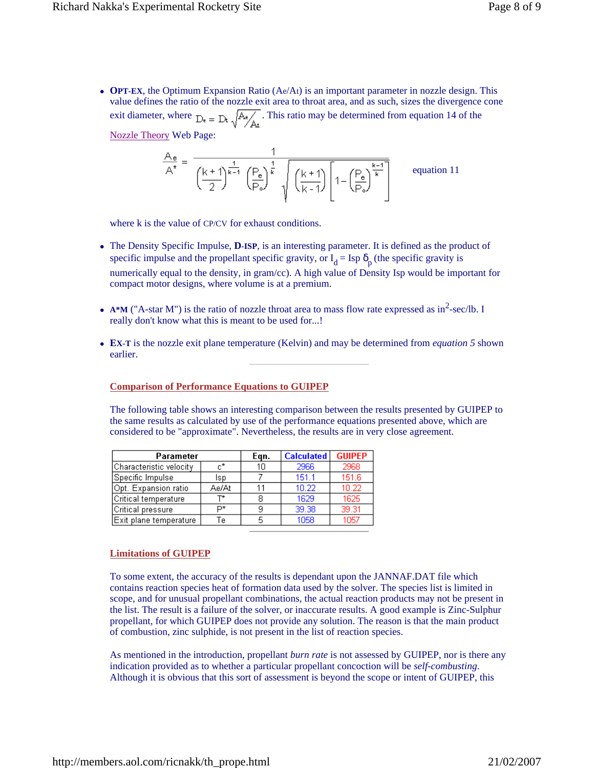**OPT-EX**, the Optimum Expansion Ratio (Ae/At) is an important parameter in nozzle design. This value defines the ratio of the nozzle exit area to throat area, and as such, sizes the divergence cone exit diameter, where  $D_e = D_t \sqrt{\frac{A_e}{A_t}}$ . This ratio may be determined from equation 14 of the Nozzle Theory Web Page:

$$
\frac{A_e}{A^*} = \frac{1}{\left(\frac{k+1}{2}\right)^{\frac{1}{k-1}}\left(\frac{P_e}{P_o}\right)^{\frac{1}{k}}\sqrt{\left(\frac{k+1}{k-1}\right)\left[1-\left(\frac{P_e}{P_o}\right)^{\frac{k-1}{k}}\right]}} \qquad \text{equation 11}
$$

where k is the value of CP/CV for exhaust conditions.

- The Density Specific Impulse, **D-ISP**, is an interesting parameter. It is defined as the product of specific impulse and the propellant specific gravity, or  $I_d = \text{Isp } \delta_p$  (the specific gravity is numerically equal to the density, in gram/cc). A high value of Density Isp would be important for compact motor designs, where volume is at a premium.
- $A^*M$  ("A-star M") is the ratio of nozzle throat area to mass flow rate expressed as  $in^2$ -sec/lb. I really don't know what this is meant to be used for...!
- **EX-T** is the nozzle exit plane temperature (Kelvin) and may be determined from *equation 5* shown earlier.

#### **Comparison of Performance Equations to GUIPEP**

The following table shows an interesting comparison between the results presented by GUIPEP to the same results as calculated by use of the performance equations presented above, which are considered to be "approximate". Nevertheless, the results are in very close agreement.

| Parameter               | Ean.  | <b>Calculated</b> | <b>GUIPEP</b> |       |
|-------------------------|-------|-------------------|---------------|-------|
| Characteristic velocity | r*    |                   | 2966          | 2968  |
| Specific Impulse        | lsp   |                   | 151.1         | 151.6 |
| Opt. Expansion ratio    | Ae/At |                   | 10.22         | 10.22 |
| Critical temperature    | ᠇∗    |                   | 1629          | 1625  |
| Critical pressure       | D*    | 9                 | 39.38         | 39.31 |
| Exit plane temperature  | Ге    |                   | 1058          | 1057  |

#### **Limitations of GUIPEP**

To some extent, the accuracy of the results is dependant upon the JANNAF.DAT file which contains reaction species heat of formation data used by the solver. The species list is limited in scope, and for unusual propellant combinations, the actual reaction products may not be present in the list. The result is a failure of the solver, or inaccurate results. A good example is Zinc-Sulphur propellant, for which GUIPEP does not provide any solution. The reason is that the main product of combustion, zinc sulphide, is not present in the list of reaction species.

As mentioned in the introduction, propellant *burn rate* is not assessed by GUIPEP, nor is there any indication provided as to whether a particular propellant concoction will be *self-combusting*. Although it is obvious that this sort of assessment is beyond the scope or intent of GUIPEP, this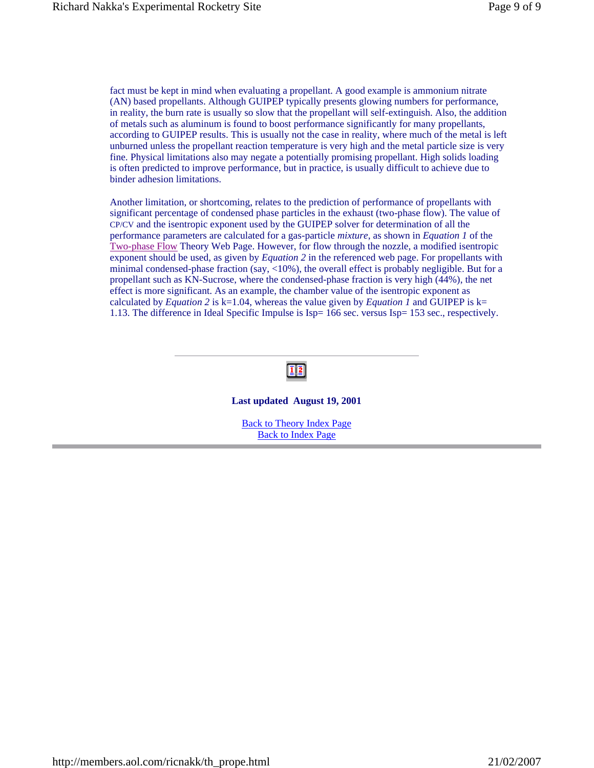fact must be kept in mind when evaluating a propellant. A good example is ammonium nitrate (AN) based propellants. Although GUIPEP typically presents glowing numbers for performance, in reality, the burn rate is usually so slow that the propellant will self-extinguish. Also, the addition of metals such as aluminum is found to boost performance significantly for many propellants, according to GUIPEP results. This is usually not the case in reality, where much of the metal is left unburned unless the propellant reaction temperature is very high and the metal particle size is very fine. Physical limitations also may negate a potentially promising propellant. High solids loading is often predicted to improve performance, but in practice, is usually difficult to achieve due to binder adhesion limitations.

Another limitation, or shortcoming, relates to the prediction of performance of propellants with significant percentage of condensed phase particles in the exhaust (two-phase flow). The value of CP/CV and the isentropic exponent used by the GUIPEP solver for determination of all the performance parameters are calculated for a gas-particle *mixture*, as shown in *Equation 1* of the Two-phase Flow Theory Web Page. However, for flow through the nozzle, a modified isentropic exponent should be used, as given by *Equation 2* in the referenced web page. For propellants with minimal condensed-phase fraction (say,  $\langle 10\% \rangle$ , the overall effect is probably negligible. But for a propellant such as KN-Sucrose, where the condensed-phase fraction is very high (44%), the net effect is more significant. As an example, the chamber value of the isentropic exponent as calculated by *Equation 2* is k=1.04, whereas the value given by *Equation 1* and GUIPEP is k= 1.13. The difference in Ideal Specific Impulse is Isp= 166 sec. versus Isp= 153 sec., respectively.

## $\left\Vert \bar{1}\right\Vert \bar{2}\right\Vert$

#### **Last updated August 19, 2001**

Back to Theory Index Page Back to Index Page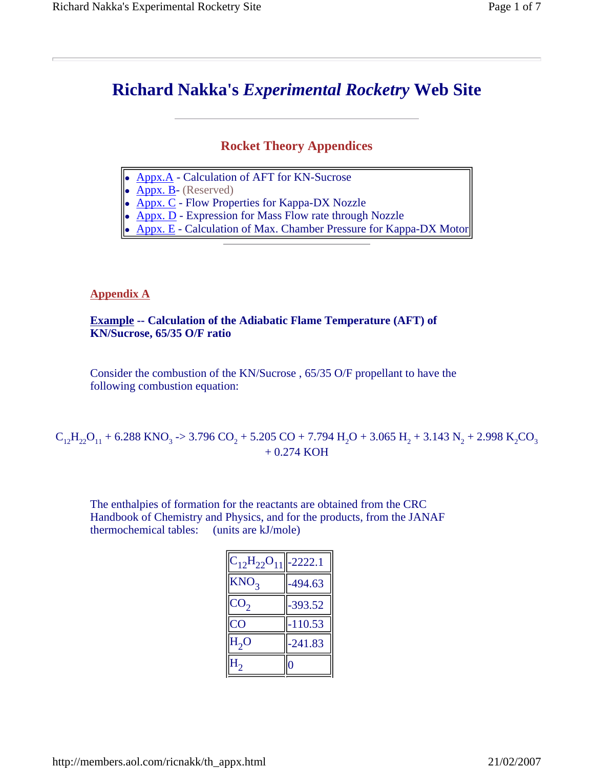### **Rocket Theory Appendices**

- Appx.A Calculation of AFT for KN-Sucrose
- $Appx. B (Reserved)$
- Appx. C Flow Properties for Kappa-DX Nozzle
- Appx. D Expression for Mass Flow rate through Nozzle
- Appx. E Calculation of Max. Chamber Pressure for Kappa-DX Motor

#### **Appendix A**

**Example -- Calculation of the Adiabatic Flame Temperature (AFT) of KN/Sucrose, 65/35 O/F ratio**

Consider the combustion of the KN/Sucrose , 65/35 O/F propellant to have the following combustion equation:

### $\rm C_{12}H_{22}O_{11}$  + 6.288 KNO<sub>3</sub> -> 3.796 CO<sub>2</sub> + 5.205 CO + 7.794 H<sub>2</sub>O + 3.065 H<sub>2</sub> + 3.143 N<sub>2</sub> + 2.998 K<sub>2</sub>CO<sub>3</sub> + 0.274 KOH

The enthalpies of formation for the reactants are obtained from the CRC Handbook of Chemistry and Physics, and for the products, from the JANAF thermochemical tables: (units are kJ/mole)

| $C_{12}H_{22}O_{11}$ | $-2222.1$ |
|----------------------|-----------|
| KNO <sub>3</sub>     | $-494.63$ |
| CO <sub>2</sub>      | $-393.52$ |
| <b>CO</b>            | $-110.53$ |
| $H_2O$               | $-241.83$ |
|                      |           |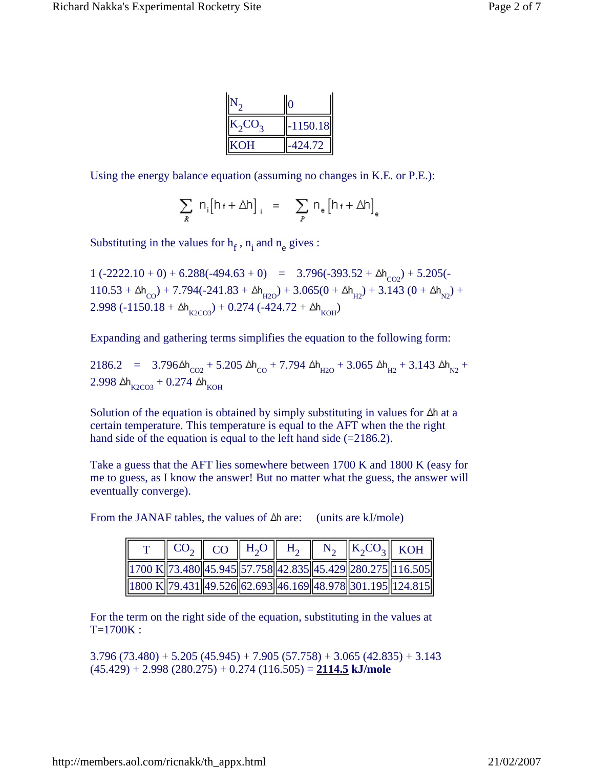| $K_2CO_3$  | $-1150.18$ |
|------------|------------|
| <b>KOH</b> | 424.72     |

Using the energy balance equation (assuming no changes in K.E. or P.E.):

$$
\sum_{R} n_i [h_f + \Delta h]_{i} = \sum_{P} n_e [h_f + \Delta h]_{e}
$$

Substituting in the values for  $h_f$ ,  $n_i$  and  $n_e$  gives :

 $1 (-2222.10 + 0) + 6.288(-494.63 + 0) = 3.796(-393.52 + \Delta h_{CO2}) + 5.205( 110.53 + \Delta h_{\text{CO}}$ ) + 7.794(-241.83 +  $\Delta h_{\text{H2O}}$ ) + 3.065(0 +  $\Delta h_{\text{H2}}$ ) + 3.143 (0 +  $\Delta h_{\text{N2}}$ ) + 2.998 (-1150.18 +  $\Delta h_{K2CO3}$ ) + 0.274 (-424.72 +  $\Delta h_{KOH}$ )

Expanding and gathering terms simplifies the equation to the following form:

2186.2 =  $3.796 \Delta h_{CO2} + 5.205 \Delta h_{CO} + 7.794 \Delta h_{H2O} + 3.065 \Delta h_{H2} + 3.143 \Delta h_{N2} +$ 2.998  $\Delta h_{K2CO3} + 0.274 \Delta h_{KOH}$ 

Solution of the equation is obtained by simply substituting in values for  $\Delta h$  at a certain temperature. This temperature is equal to the AFT when the the right hand side of the equation is equal to the left hand side  $(=2186.2)$ .

Take a guess that the AFT lies somewhere between 1700 K and 1800 K (easy for me to guess, as I know the answer! But no matter what the guess, the answer will eventually converge).

|  |  |  | $\text{CO}_2$ $\parallel$ CO $\parallel$ H <sub>2</sub> O $\parallel$ H <sub>2</sub> $\parallel$ N <sub>2</sub> $\parallel$ K <sub>2</sub> CO <sub>3</sub> $\parallel$ KOH $\parallel$ |  |
|--|--|--|----------------------------------------------------------------------------------------------------------------------------------------------------------------------------------------|--|
|  |  |  | $\left\ 1700 \text{ K}\right\ $ 73.480 $\left\ 45.945\right\ $ 57.758 $\left\ 42.835\right\ $ 45.429 $\left\ 280.275\right\ $ 116.505 $\left\ $                                        |  |
|  |  |  | $\left  \frac{1800 \text{ K}}{79.431} \right $ 49.526 62.693 46.169 48.978 301.195 124.815                                                                                             |  |

From the JANAF tables, the values of  $\Delta h$  are: (units are kJ/mole)

For the term on the right side of the equation, substituting in the values at T=1700K :

 $3.796 (73.480) + 5.205 (45.945) + 7.905 (57.758) + 3.065 (42.835) + 3.143$ (45.429) + 2.998 (280.275) + 0.274 (116.505) = **2114.5 kJ/mole**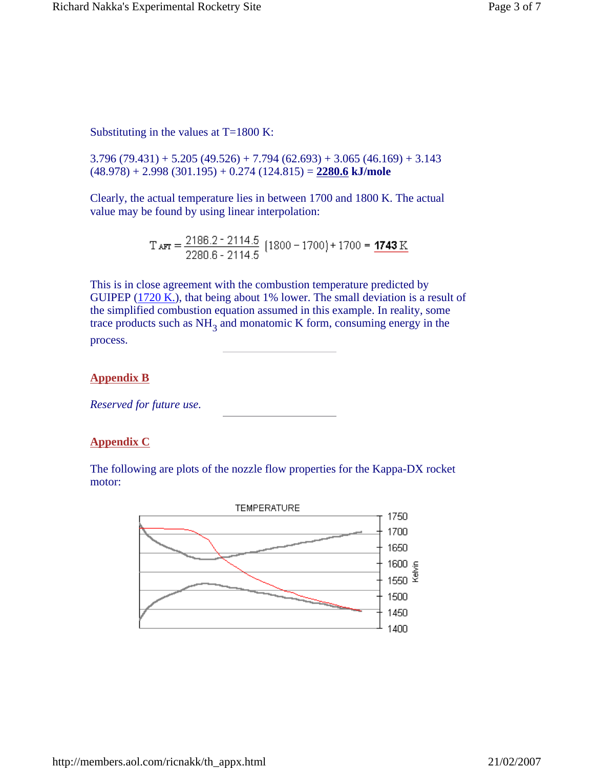Substituting in the values at  $T=1800$  K:

 $3.796 (79.431) + 5.205 (49.526) + 7.794 (62.693) + 3.065 (46.169) + 3.143$ (48.978) + 2.998 (301.195) + 0.274 (124.815) = **2280.6 kJ/mole**

Clearly, the actual temperature lies in between 1700 and 1800 K. The actual value may be found by using linear interpolation:

 $T_{\text{ATT}} = \frac{2186.2 - 2114.5}{2280.6 - 2114.5}$   $(1800 - 1700) + 1700 = \frac{1743 \text{ K}}{1700 \text{ K}}$ 

This is in close agreement with the combustion temperature predicted by GUIPEP  $(1720 \text{ K})$ , that being about 1% lower. The small deviation is a result of the simplified combustion equation assumed in this example. In reality, some trace products such as  $NH_3$  and monatomic K form, consuming energy in the process.

#### **Appendix B**

*Reserved for future use.*

#### **Appendix C**

The following are plots of the nozzle flow properties for the Kappa-DX rocket motor:

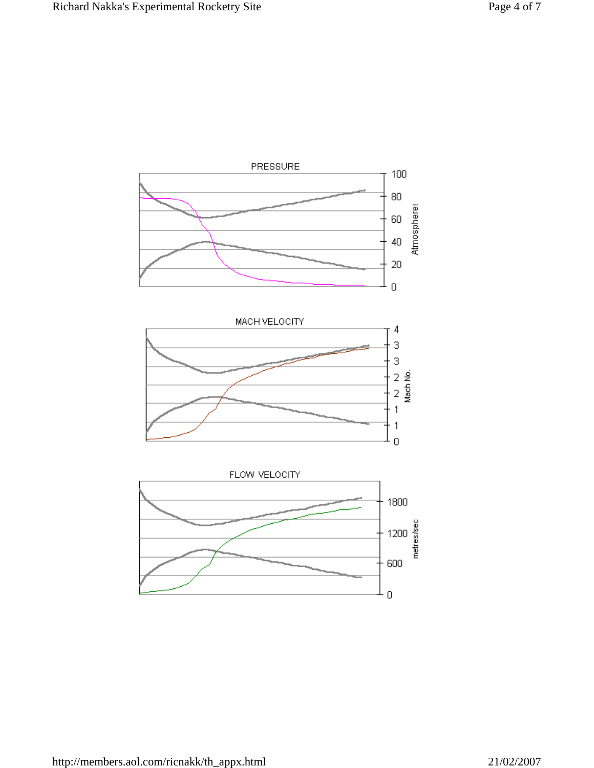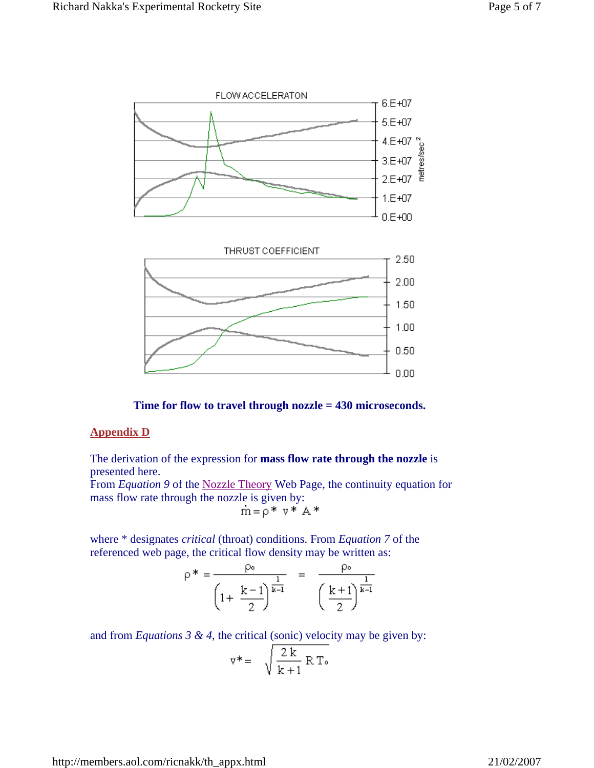

**Time for flow to travel through nozzle = 430 microseconds.**

#### **Appendix D**

The derivation of the expression for **mass flow rate through the nozzle** is presented here.

From *Equation 9* of the Nozzle Theory Web Page, the continuity equation for mass flow rate through the nozzle is given by:

$$
m = \rho^* v^* A^*
$$

where \* designates *critical* (throat) conditions. From *Equation 7* of the referenced web page, the critical flow density may be written as:

$$
\rho^* = \frac{\rho_0}{\left(1 + \frac{k-1}{2}\right)^{\frac{1}{k-1}}} = \frac{\rho_0}{\left(\frac{k+1}{2}\right)^{\frac{1}{k-1}}}
$$

and from *Equations 3 & 4*, the critical (sonic) velocity may be given by:

$$
\mathbf{v}^* = \sqrt{\frac{2 \mathbf{k}}{\mathbf{k} + 1} \mathbf{R} \mathbf{T} \cdot \mathbf{C}}
$$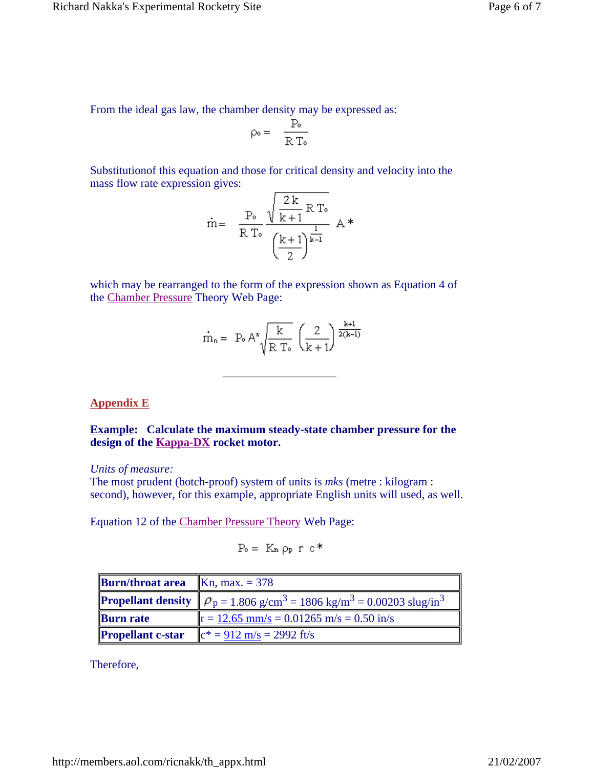$$
\rho_{o} = \frac{P_{o}}{R T_{o}}
$$

Substitutionof this equation and those for critical density and velocity into the mass flow rate expression gives:

$$
\dot{m} = \frac{P_o}{R T_o} \frac{\sqrt{\frac{2 k}{k+1} R T_o}}{\left(\frac{k+1}{2}\right)^{\frac{1}{k-1}}} A^*
$$

which may be rearranged to the form of the expression shown as Equation 4 of the Chamber Pressure Theory Web Page:

$$
m_n = P_0 A^* \sqrt{\frac{k}{R T_0}} \left(\frac{2}{k+1}\right)^{\frac{k+1}{2(k-1)}}
$$

#### **Appendix E**

**Example: Calculate the maximum steady-state chamber pressure for the design of the Kappa-DX rocket motor.**

*Units of measure:*

The most prudent (botch-proof) system of units is *mks* (metre : kilogram : second), however, for this example, appropriate English units will used, as well.

Equation 12 of the Chamber Pressure Theory Web Page:

$$
P_o = K_n \rho_P r c^*
$$

| <b>Burn/throat area</b> $\mathbb{K}$ n, max. = 378 |                                                                                                          |
|----------------------------------------------------|----------------------------------------------------------------------------------------------------------|
|                                                    | <b>Propellant density</b> $p_p = 1.806 \text{ g/cm}^3 = 1806 \text{ kg/m}^3 = 0.00203 \text{ slug/in}^3$ |
| <b>Burn rate</b>                                   | $\ r = 12.65$ mm/s = 0.01265 m/s = 0.50 in/s                                                             |
| <b>Propellant c-star</b>                           | $\ c^* = 912 \text{ m/s} = 2992 \text{ ft/s}$                                                            |

Therefore,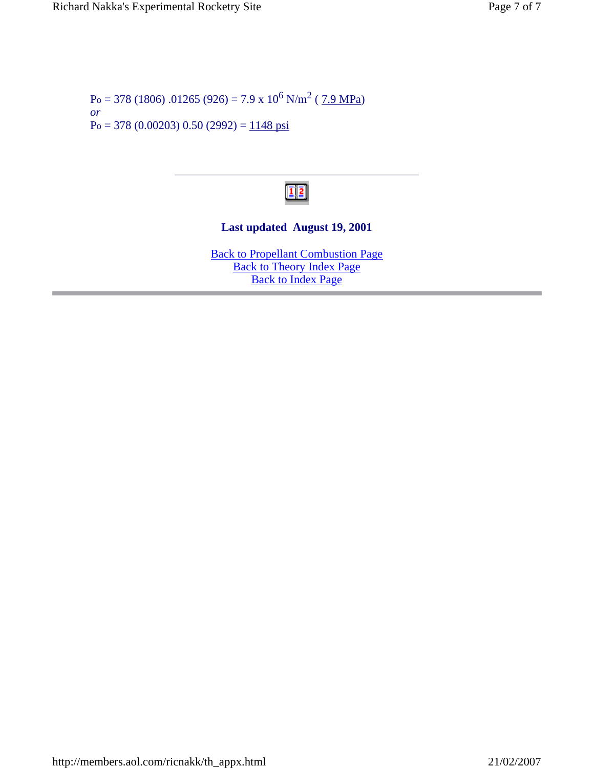$P_0 = 378 (1806) .01265 (926) = 7.9 x 10^6 N/m^2 (7.9 MPa)$ *or*  $Po = 378 (0.00203) 0.50 (2992) = 1148 \text{ psi}$ 



### **Last updated August 19, 2001**

Back to Propellant Combustion Page Back to Theory Index Page **Back to Index Page**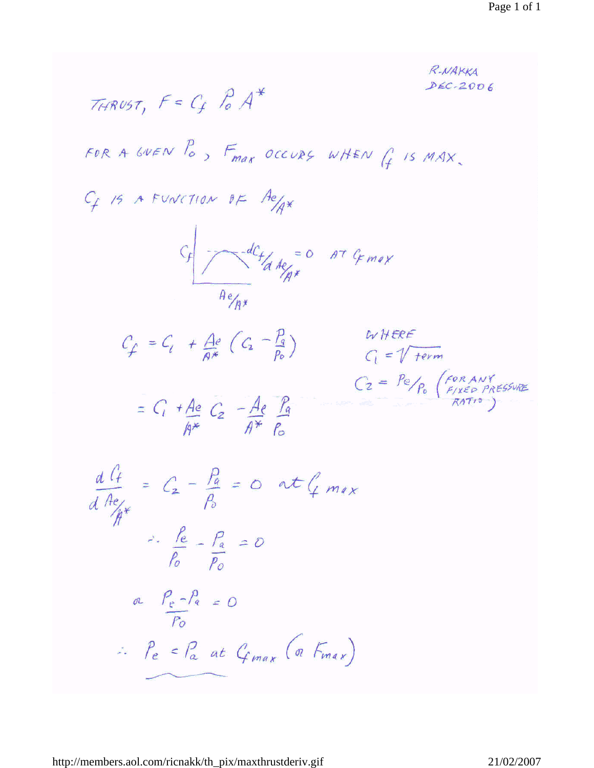760R NUST, F = C<sub>4</sub> P<sub>0</sub> A\*  
\nFor a two P<sub>0</sub>, F<sub>max</sub> occurs, where P<sub>0</sub> is max, 20006  
\nC<sub>4</sub> 15 MAX,  
\nC<sub>4</sub> 15 A FUNCIION BE 
$$
Ae_{AX}
$$
  
\nC<sub>4</sub> 15 AAX,  
\nC<sub>4</sub> 15 A X.  
\nC<sub>4</sub> 15 A YX.  
\nC<sub>4</sub> 15 A YX.  
\nC<sub>4</sub> 15 A YX.  
\nC<sub>4</sub> 16 A YX  
\nD<sub>4</sub> 18 A Y  
\nE<sub>4</sub> 19 A  
\nE<sub>4</sub> 19 A  
\nE<sub>4</sub> 19 A  
\nE<sub>4</sub> 19 A  
\nE<sub>4</sub> 19 A  
\nE<sub>4</sub> 19 A  
\nE<sub>4</sub> 19 A  
\nE<sub>4</sub> 19 A  
\nE<sub>4</sub> 19 A  
\nE<sub>4</sub> 19 A  
\nE<sub>4</sub> 19 A  
\nE<sub>4</sub> 19 A  
\nE<sub>4</sub> 19 A  
\nE<sub>4</sub> 19 A  
\nE<sub>4</sub> 19 A  
\nE<sub>4</sub> 19 A  
\nE<sub>4</sub> 19 A  
\nE<sub>4</sub> 19 A  
\nE<sub>4</sub> 19 A  
\nE<sub>4</sub> 19 A  
\nE<sub>4</sub> 19 A  
\nE<sub>4</sub> 19 A  
\nE<sub>4</sub> 19 A  
\nE<sub>4</sub> 19 A  
\nE<sub>4</sub> 19 A  
\nE<sub>4</sub> 19 A  
\nE<sub>4</sub> 19 A  
\nE<sub>4</sub> 19 A  
\nE<sub>4</sub> 19 A  
\nE<sub>4</sub> 19 A  
\nE<sub>4</sub> 19 A  
\nE<sub>4</sub> 19 A  
\nE<sub>4</sub> 19 A  
\nE<sub>4</sub> 19 A  
\nE<sub>4</sub>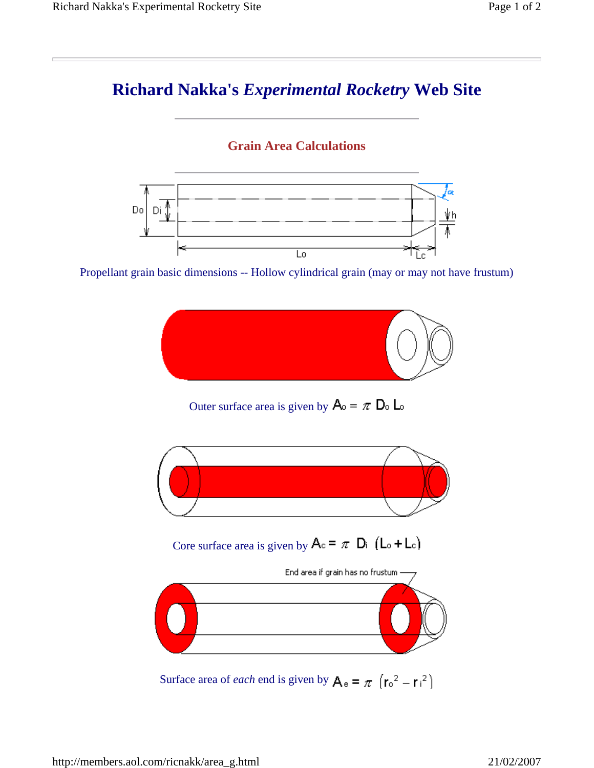### **Grain Area Calculations**



Propellant grain basic dimensions -- Hollow cylindrical grain (may or may not have frustum)

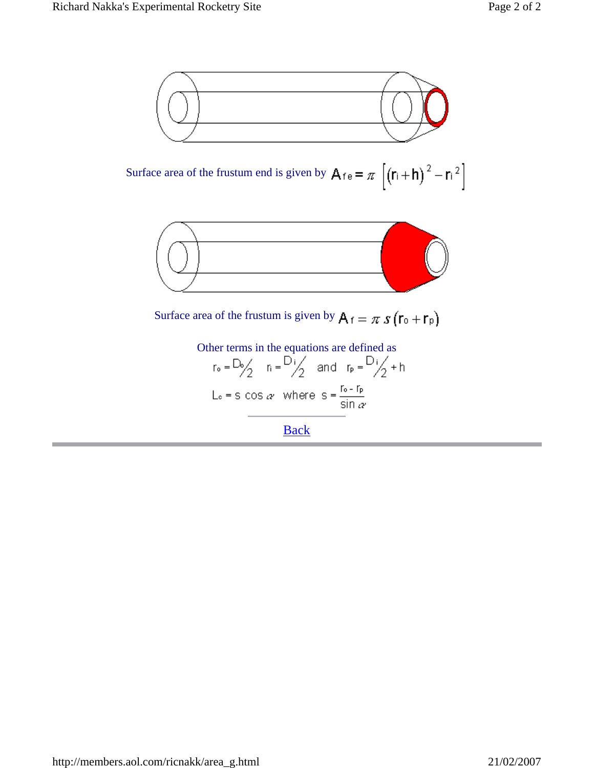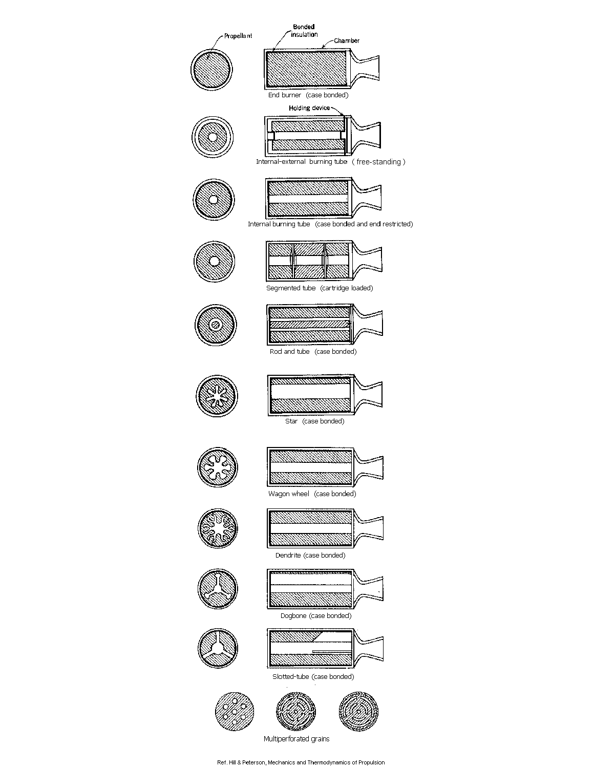











Slotted-tube (case bonded)







Multiperforated grains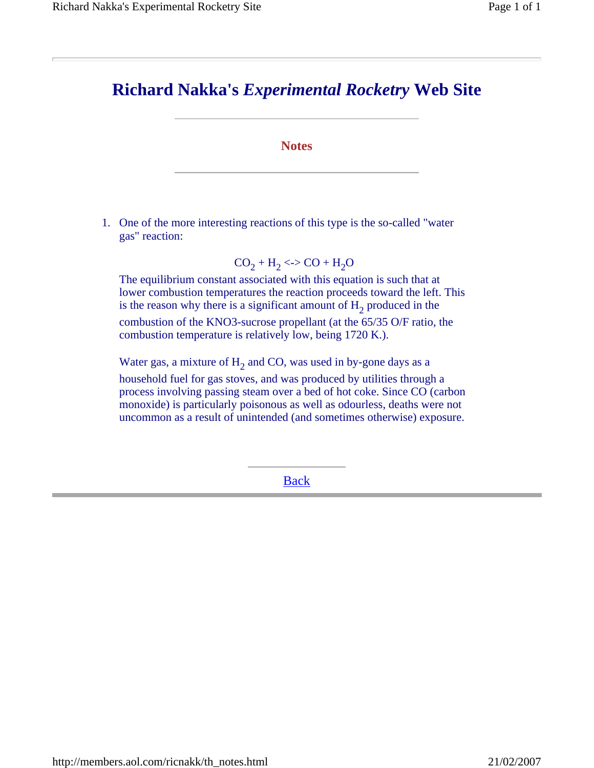#### **Notes**

1. One of the more interesting reactions of this type is the so-called "water gas" reaction:

$$
CO_2 + H_2 \ll\!\!> CO + H_2O
$$

The equilibrium constant associated with this equation is such that at lower combustion temperatures the reaction proceeds toward the left. This is the reason why there is a significant amount of  $H_2$  produced in the

combustion of the KNO3-sucrose propellant (at the 65/35 O/F ratio, the combustion temperature is relatively low, being 1720 K.).

Water gas, a mixture of  $H_2$  and CO, was used in by-gone days as a

household fuel for gas stoves, and was produced by utilities through a process involving passing steam over a bed of hot coke. Since CO (carbon monoxide) is particularly poisonous as well as odourless, deaths were not uncommon as a result of unintended (and sometimes otherwise) exposure.

Back